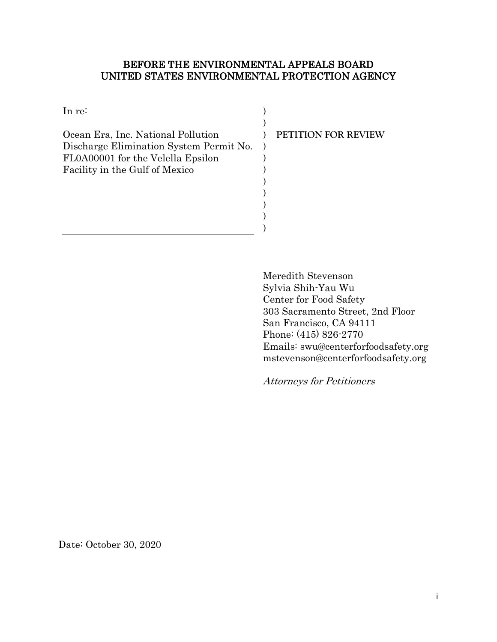## BEFORE THE ENVIRONMENTAL APPEALS BOARD UNITED STATES ENVIRONMENTAL PROTECTION AGENCY

| In re:                                  |                     |
|-----------------------------------------|---------------------|
|                                         |                     |
| Ocean Era, Inc. National Pollution      | PETITION FOR REVIEW |
| Discharge Elimination System Permit No. |                     |
| FL0A00001 for the Velella Epsilon       |                     |
| Facility in the Gulf of Mexico          |                     |
|                                         |                     |
|                                         |                     |
|                                         |                     |
|                                         |                     |
|                                         |                     |

 Meredith Stevenson Sylvia Shih-Yau Wu Center for Food Safety 303 Sacramento Street, 2nd Floor San Francisco, CA 94111 Phone: (415) 826-2770 Emails: swu@centerforfoodsafety.org mstevenson@centerforfoodsafety.org

Attorneys for Petitioners

Date: October 30, 2020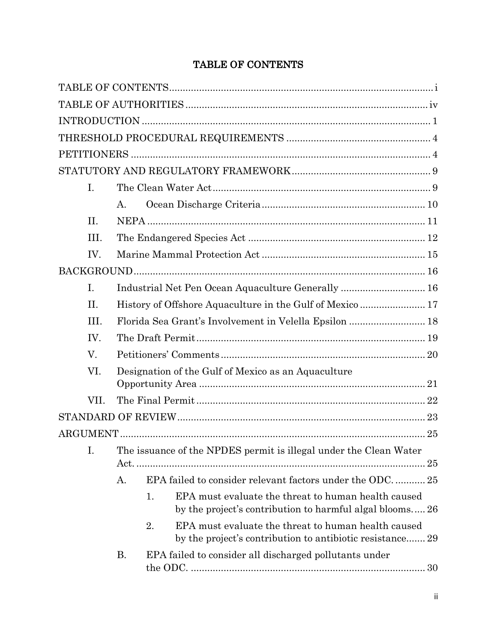# TABLE OF CONTENTS

| $I_{\cdot}$ |                                                     |                                                                                                                        |    |
|-------------|-----------------------------------------------------|------------------------------------------------------------------------------------------------------------------------|----|
|             | $A_{-}$                                             |                                                                                                                        |    |
| II.         |                                                     |                                                                                                                        |    |
| III.        |                                                     |                                                                                                                        |    |
| IV.         |                                                     |                                                                                                                        |    |
|             |                                                     |                                                                                                                        |    |
| I.          |                                                     | Industrial Net Pen Ocean Aquaculture Generally  16                                                                     |    |
| II.         |                                                     | History of Offshore Aquaculture in the Gulf of Mexico  17                                                              |    |
| III.        |                                                     |                                                                                                                        |    |
| IV.         |                                                     |                                                                                                                        |    |
| V.          |                                                     |                                                                                                                        |    |
| VI.         | Designation of the Gulf of Mexico as an Aquaculture |                                                                                                                        |    |
|             |                                                     |                                                                                                                        |    |
| VII.        |                                                     |                                                                                                                        |    |
|             |                                                     |                                                                                                                        |    |
|             |                                                     |                                                                                                                        |    |
| I.          |                                                     | The issuance of the NPDES permit is illegal under the Clean Water                                                      |    |
|             |                                                     |                                                                                                                        | 25 |
|             | Α.                                                  | EPA failed to consider relevant factors under the ODC 25                                                               |    |
|             |                                                     | EPA must evaluate the threat to human health caused<br>1.<br>by the project's contribution to harmful algal blooms 26  |    |
|             |                                                     | 2.<br>EPA must evaluate the threat to human health caused<br>by the project's contribution to antibiotic resistance 29 |    |
|             | <b>B.</b>                                           | EPA failed to consider all discharged pollutants under                                                                 |    |
|             |                                                     |                                                                                                                        |    |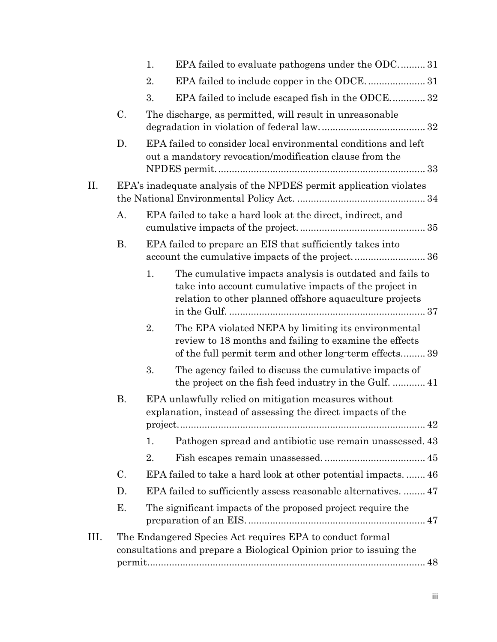|      |    | EPA failed to evaluate pathogens under the ODC31<br>1.                                                                                                                              |
|------|----|-------------------------------------------------------------------------------------------------------------------------------------------------------------------------------------|
|      |    | 2.                                                                                                                                                                                  |
|      |    | EPA failed to include escaped fish in the ODCE 32<br>3.                                                                                                                             |
|      | C. | The discharge, as permitted, will result in unreasonable                                                                                                                            |
|      | D. | EPA failed to consider local environmental conditions and left<br>out a mandatory revocation/modification clause from the                                                           |
| II.  |    | EPA's inadequate analysis of the NPDES permit application violates                                                                                                                  |
|      | A. | EPA failed to take a hard look at the direct, indirect, and                                                                                                                         |
|      | В. | EPA failed to prepare an EIS that sufficiently takes into                                                                                                                           |
|      |    | 1.<br>The cumulative impacts analysis is outdated and fails to<br>take into account cumulative impacts of the project in<br>relation to other planned offshore aquaculture projects |
|      |    | 2.<br>The EPA violated NEPA by limiting its environmental<br>review to 18 months and failing to examine the effects<br>of the full permit term and other long-term effects39        |
|      |    | 3.<br>The agency failed to discuss the cumulative impacts of                                                                                                                        |
|      | В. | EPA unlawfully relied on mitigation measures without<br>explanation, instead of assessing the direct impacts of the                                                                 |
|      |    | Pathogen spread and antibiotic use remain unassessed. 43<br>1.                                                                                                                      |
|      |    | 2.                                                                                                                                                                                  |
|      | C. | EPA failed to take a hard look at other potential impacts.  46                                                                                                                      |
|      | D. | EPA failed to sufficiently assess reasonable alternatives.  47                                                                                                                      |
|      | Е. | The significant impacts of the proposed project require the                                                                                                                         |
| III. |    | The Endangered Species Act requires EPA to conduct formal<br>consultations and prepare a Biological Opinion prior to issuing the                                                    |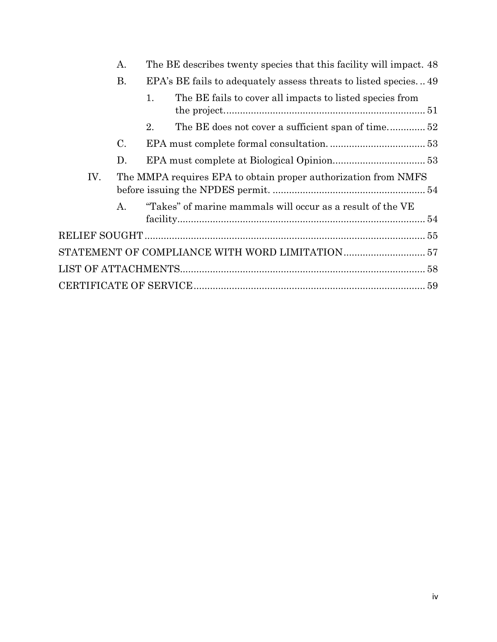|  |     | A.             | The BE describes twenty species that this facility will impact. 48 |                                                                 |  |
|--|-----|----------------|--------------------------------------------------------------------|-----------------------------------------------------------------|--|
|  |     | В.             |                                                                    | EPA's BE fails to adequately assess threats to listed species49 |  |
|  |     |                | 1.                                                                 | The BE fails to cover all impacts to listed species from        |  |
|  |     |                | 2.                                                                 | The BE does not cover a sufficient span of time52               |  |
|  |     | $\mathbf{C}$ . |                                                                    |                                                                 |  |
|  |     | D.             |                                                                    |                                                                 |  |
|  | IV. |                | The MMPA requires EPA to obtain proper authorization from NMFS     |                                                                 |  |
|  |     | $A_{-}$        |                                                                    | "Takes" of marine mammals will occur as a result of the VE      |  |
|  |     |                |                                                                    |                                                                 |  |
|  |     |                |                                                                    |                                                                 |  |
|  |     |                |                                                                    |                                                                 |  |
|  |     |                |                                                                    |                                                                 |  |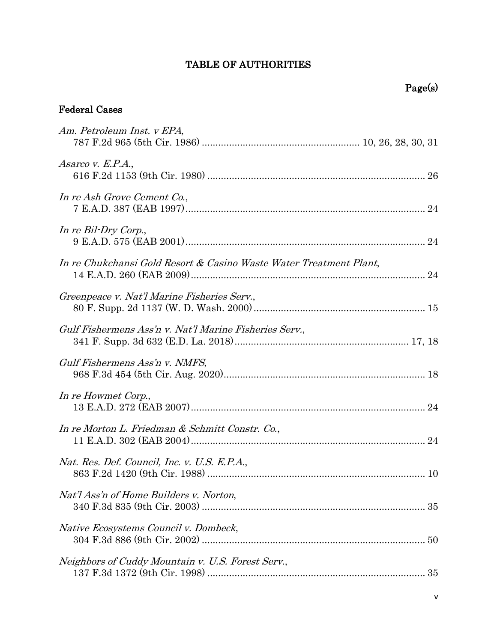## TABLE OF AUTHORITIES

# Page(s)

# Federal Cases

| Am. Petroleum Inst. v EPA,                                         |
|--------------------------------------------------------------------|
| Asarco v. E.P.A.,                                                  |
| In re Ash Grove Cement Co.,                                        |
| In re Bil-Dry Corp.,                                               |
| In re Chukchansi Gold Resort & Casino Waste Water Treatment Plant, |
| Greenpeace v. Nat'l Marine Fisheries Serv.,                        |
| Gulf Fishermens Ass'n v. Nat'l Marine Fisheries Serv.,             |
| Gulf Fishermens Ass'n v. NMFS,                                     |
| In re Howmet Corp.,                                                |
| In re Morton L. Friedman & Schmitt Constr. Co.,                    |
| Nat. Res. Def. Council, Inc. v. U.S. E.P.A.,                       |
| Nat'l Ass'n of Home Builders v. Norton,                            |
| Native Ecosystems Council v. Dombeck,                              |
| Neighbors of Cuddy Mountain v. U.S. Forest Serv.,                  |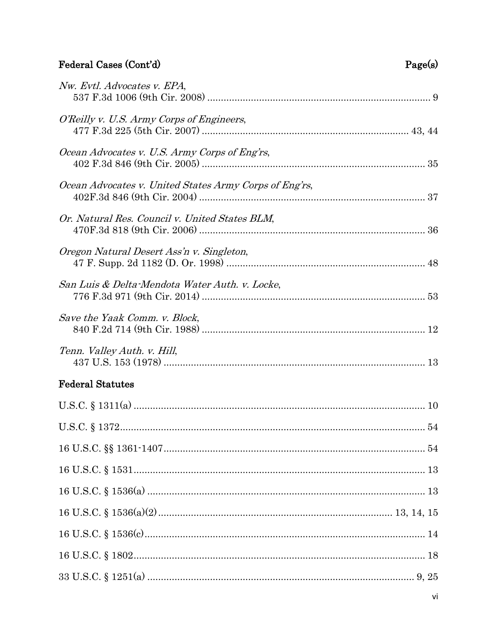# Federal Cases (Cont'd)

| Page(s) |
|---------|
|---------|

| Nw. Evtl. Advocates v. EPA,                            |
|--------------------------------------------------------|
| O'Reilly v. U.S. Army Corps of Engineers,              |
| Ocean Advocates v. U.S. Army Corps of Eng'rs,          |
| Ocean Advocates v. United States Army Corps of Eng'rs, |
| Or. Natural Res. Council v. United States BLM,         |
| Oregon Natural Desert Ass'n v. Singleton,              |
| San Luis & Delta-Mendota Water Auth. v. Locke,         |
| Save the Yaak Comm. v. Block,                          |
| Tenn. Valley Auth. v. Hill,                            |
| <b>Federal Statutes</b>                                |
|                                                        |
|                                                        |
|                                                        |
|                                                        |
|                                                        |
|                                                        |
|                                                        |
|                                                        |
|                                                        |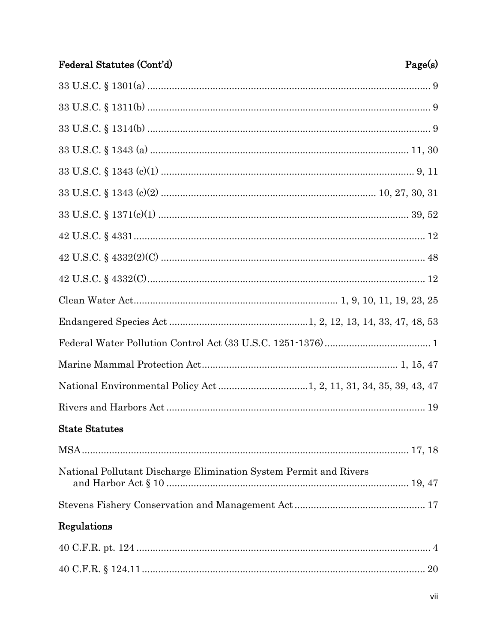| Federal Statutes (Cont'd)                                         | Page(s) |
|-------------------------------------------------------------------|---------|
|                                                                   |         |
|                                                                   |         |
|                                                                   |         |
|                                                                   |         |
|                                                                   |         |
|                                                                   |         |
|                                                                   |         |
|                                                                   |         |
|                                                                   |         |
|                                                                   |         |
|                                                                   |         |
|                                                                   |         |
|                                                                   |         |
|                                                                   |         |
|                                                                   |         |
|                                                                   |         |
| <b>State Statutes</b>                                             |         |
|                                                                   |         |
| National Pollutant Discharge Elimination System Permit and Rivers |         |
|                                                                   |         |
| Regulations                                                       |         |
|                                                                   |         |
|                                                                   |         |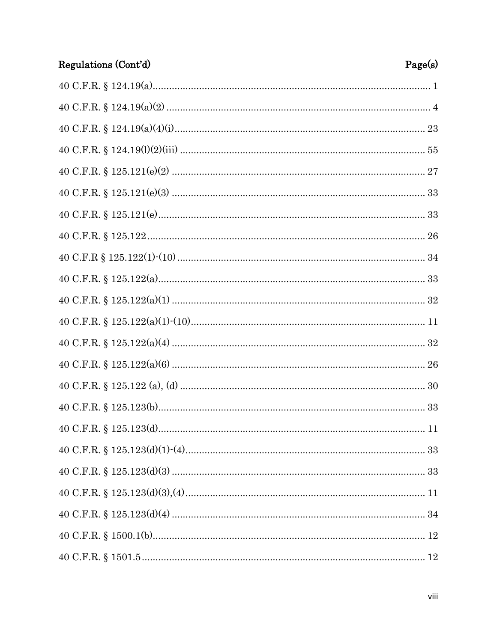| Regulations (Cont'd) | Page(s) |
|----------------------|---------|
|                      |         |
|                      |         |
|                      |         |
|                      |         |
|                      |         |
|                      |         |
|                      |         |
|                      |         |
|                      |         |
|                      |         |
|                      |         |
|                      |         |
|                      |         |
|                      |         |
|                      |         |
|                      |         |
|                      |         |
|                      |         |
|                      |         |
|                      |         |
|                      |         |
|                      |         |
|                      |         |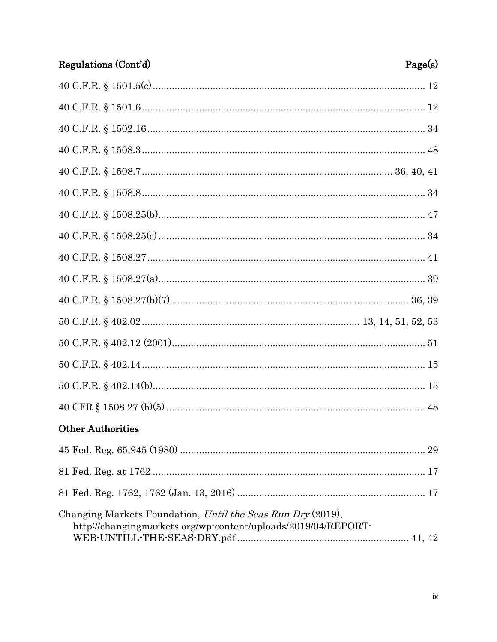| Regulations (Cont'd)                                                                                                         | Page(s) |
|------------------------------------------------------------------------------------------------------------------------------|---------|
|                                                                                                                              |         |
|                                                                                                                              |         |
|                                                                                                                              |         |
|                                                                                                                              |         |
|                                                                                                                              |         |
|                                                                                                                              |         |
|                                                                                                                              |         |
|                                                                                                                              |         |
|                                                                                                                              |         |
|                                                                                                                              |         |
|                                                                                                                              |         |
|                                                                                                                              |         |
| $50\text{ C.F.R. } \S~402.12~(2001) \dots 51$                                                                                |         |
|                                                                                                                              |         |
|                                                                                                                              |         |
|                                                                                                                              |         |
| <b>Other Authorities</b>                                                                                                     |         |
|                                                                                                                              |         |
|                                                                                                                              |         |
|                                                                                                                              |         |
| Changing Markets Foundation, Until the Seas Run Dry (2019),<br>http://changingmarkets.org/wp-content/uploads/2019/04/REPORT- |         |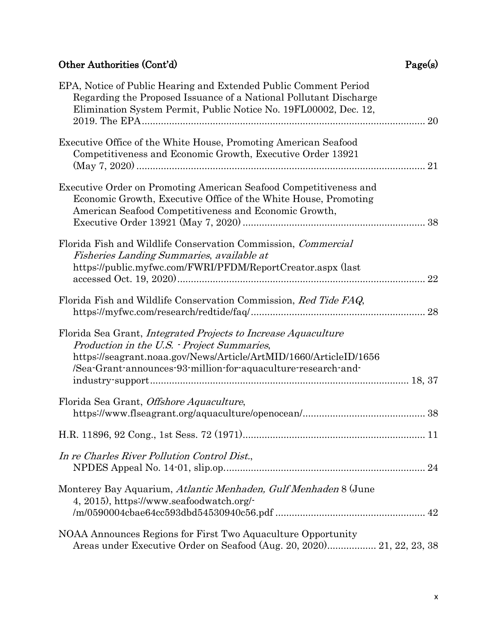# Other Authorities (Cont'd) Page(s)

| EPA, Notice of Public Hearing and Extended Public Comment Period<br>Regarding the Proposed Issuance of a National Pollutant Discharge<br>Elimination System Permit, Public Notice No. 19FL00002, Dec. 12,<br>20                                            |
|------------------------------------------------------------------------------------------------------------------------------------------------------------------------------------------------------------------------------------------------------------|
| Executive Office of the White House, Promoting American Seafood<br>Competitiveness and Economic Growth, Executive Order 13921<br>21                                                                                                                        |
| Executive Order on Promoting American Seafood Competitiveness and<br>Economic Growth, Executive Office of the White House, Promoting<br>American Seafood Competitiveness and Economic Growth,                                                              |
| Florida Fish and Wildlife Conservation Commission, <i>Commercial</i><br>Fisheries Landing Summaries, available at<br>https://public.myfwc.com/FWRI/PFDM/ReportCreator.aspx (last<br>22                                                                     |
| Florida Fish and Wildlife Conservation Commission, Red Tide FAQ,<br>28                                                                                                                                                                                     |
| Florida Sea Grant, <i>Integrated Projects to Increase Aquaculture</i><br>Production in the U.S. - Project Summaries,<br>https://seagrant.noaa.gov/News/Article/ArtMID/1660/ArticleID/1656<br>/Sea-Grant-announces-93-million-for-aquaculture-research-and- |
| Florida Sea Grant, Offshore Aquaculture,                                                                                                                                                                                                                   |
|                                                                                                                                                                                                                                                            |
| In re Charles River Pollution Control Dist.,                                                                                                                                                                                                               |
| Monterey Bay Aquarium, Atlantic Menhaden, Gulf Menhaden 8 (June<br>4, 2015), https://www.seafoodwatch.org/-                                                                                                                                                |
| NOAA Announces Regions for First Two Aquaculture Opportunity<br>Areas under Executive Order on Seafood (Aug. 20, 2020) 21, 22, 23, 38                                                                                                                      |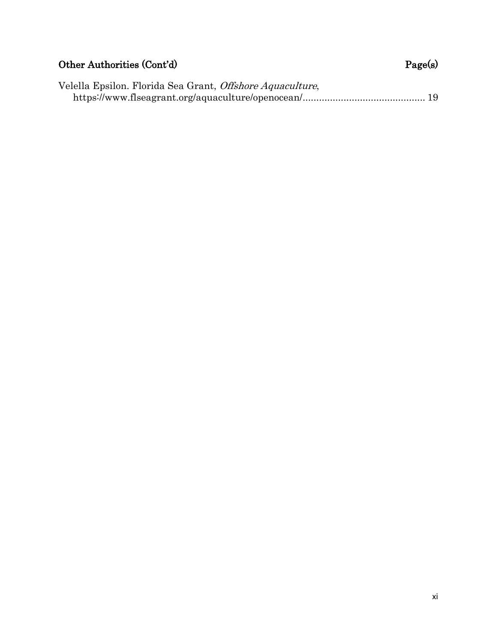# Other Authorities (Cont'd) Page(s)

| Velella Epsilon. Florida Sea Grant, <i>Offshore Aquaculture</i> , |  |
|-------------------------------------------------------------------|--|
|                                                                   |  |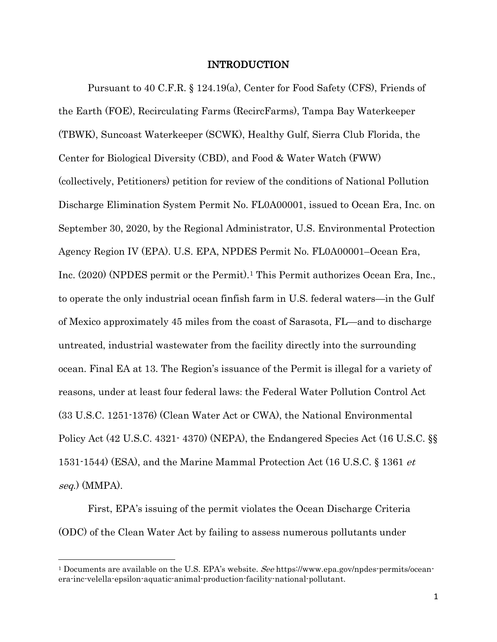## <span id="page-11-4"></span><span id="page-11-0"></span>INTRODUCTION

Pursuant to 40 C.F.R. § 124.19(a), Center for Food Safety (CFS), Friends of the Earth (FOE), Recirculating Farms (RecircFarms), Tampa Bay Waterkeeper (TBWK), Suncoast Waterkeeper (SCWK), Healthy Gulf, Sierra Club Florida, the Center for Biological Diversity (CBD), and Food & Water Watch (FWW) (collectively, Petitioners) petition for review of the conditions of National Pollution Discharge Elimination System Permit No. FL0A00001, issued to Ocean Era, Inc. on September 30, 2020, by the Regional Administrator, U.S. Environmental Protection Agency Region IV (EPA). U.S. EPA, NPDES Permit No. FL0A00001–Ocean Era, Inc. (2020) (NPDES permit or the Permit).[1](#page-11-5) This Permit authorizes Ocean Era, Inc., to operate the only industrial ocean finfish farm in U.S. federal waters—in the Gulf of Mexico approximately 45 miles from the coast of Sarasota, FL—and to discharge untreated, industrial wastewater from the facility directly into the surrounding ocean. Final EA at 13. The Region's issuance of the Permit is illegal for a variety of reasons, under at least four federal laws: the Federal Water Pollution Control Act (33 U.S.C. 1251-1376) (Clean Water Act or CWA), the National Environmental Policy Act (42 U.S.C. 4321- 4370) (NEPA), the Endangered Species Act (16 U.S.C. §§ 1531-1544) (ESA), and the Marine Mammal Protection Act (16 U.S.C. § 1361 et seq.) (MMPA).

<span id="page-11-3"></span><span id="page-11-2"></span><span id="page-11-1"></span>First, EPA's issuing of the permit violates the Ocean Discharge Criteria (ODC) of the Clean Water Act by failing to assess numerous pollutants under

 $\overline{\phantom{a}}$ 

<span id="page-11-5"></span><sup>&</sup>lt;sup>1</sup> Documents are available on the U.S. EPA's website. See [https://www.epa.gov/npdes-permits/ocean](https://www.epa.gov/npdes-permits/ocean-era-inc-velella-epsilon-aquatic-animal-production-facility-national-pollutant)[era-inc-velella-epsilon-aquatic-animal-production-facility-national-pollutant.](https://www.epa.gov/npdes-permits/ocean-era-inc-velella-epsilon-aquatic-animal-production-facility-national-pollutant)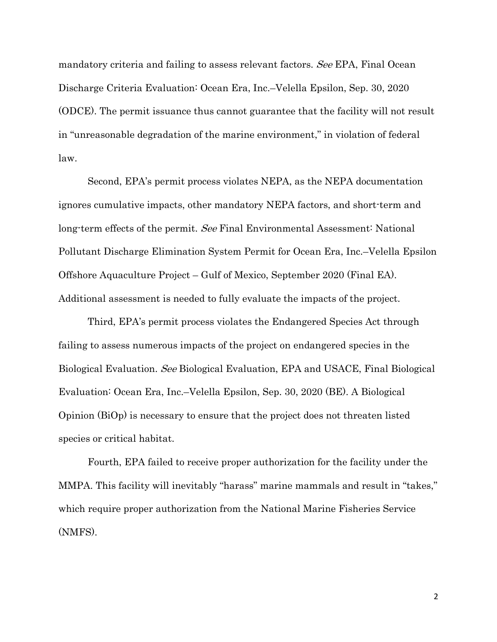mandatory criteria and failing to assess relevant factors. See EPA, Final Ocean Discharge Criteria Evaluation: Ocean Era, Inc.–Velella Epsilon, Sep. 30, 2020 (ODCE). The permit issuance thus cannot guarantee that the facility will not result in "unreasonable degradation of the marine environment," in violation of federal law.

<span id="page-12-1"></span>Second, EPA's permit process violates NEPA, as the NEPA documentation ignores cumulative impacts, other mandatory NEPA factors, and short-term and long-term effects of the permit. See Final Environmental Assessment: National Pollutant Discharge Elimination System Permit for Ocean Era, Inc.–Velella Epsilon Offshore Aquaculture Project – Gulf of Mexico, September 2020 (Final EA). Additional assessment is needed to fully evaluate the impacts of the project.

<span id="page-12-0"></span>Third, EPA's permit process violates the Endangered Species Act through failing to assess numerous impacts of the project on endangered species in the Biological Evaluation. See Biological Evaluation, EPA and USACE, Final Biological Evaluation: Ocean Era, Inc.–Velella Epsilon, Sep. 30, 2020 (BE). A Biological Opinion (BiOp) is necessary to ensure that the project does not threaten listed species or critical habitat.

Fourth, EPA failed to receive proper authorization for the facility under the MMPA. This facility will inevitably "harass" marine mammals and result in "takes," which require proper authorization from the National Marine Fisheries Service (NMFS).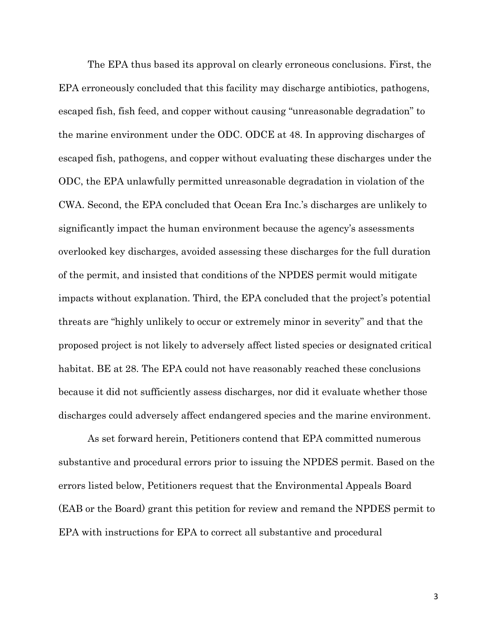The EPA thus based its approval on clearly erroneous conclusions. First, the EPA erroneously concluded that this facility may discharge antibiotics, pathogens, escaped fish, fish feed, and copper without causing "unreasonable degradation" to the marine environment under the ODC. ODCE at 48. In approving discharges of escaped fish, pathogens, and copper without evaluating these discharges under the ODC, the EPA unlawfully permitted unreasonable degradation in violation of the CWA. Second, the EPA concluded that Ocean Era Inc.'s discharges are unlikely to significantly impact the human environment because the agency's assessments overlooked key discharges, avoided assessing these discharges for the full duration of the permit, and insisted that conditions of the NPDES permit would mitigate impacts without explanation. Third, the EPA concluded that the project's potential threats are "highly unlikely to occur or extremely minor in severity" and that the proposed project is not likely to adversely affect listed species or designated critical habitat. BE at 28. The EPA could not have reasonably reached these conclusions because it did not sufficiently assess discharges, nor did it evaluate whether those discharges could adversely affect endangered species and the marine environment.

As set forward herein, Petitioners contend that EPA committed numerous substantive and procedural errors prior to issuing the NPDES permit. Based on the errors listed below, Petitioners request that the Environmental Appeals Board (EAB or the Board) grant this petition for review and remand the NPDES permit to EPA with instructions for EPA to correct all substantive and procedural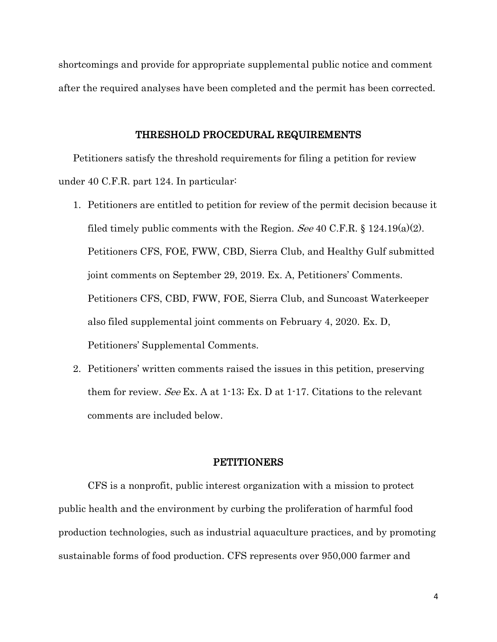shortcomings and provide for appropriate supplemental public notice and comment after the required analyses have been completed and the permit has been corrected.

#### <span id="page-14-3"></span><span id="page-14-0"></span>THRESHOLD PROCEDURAL REQUIREMENTS

Petitioners satisfy the threshold requirements for filing a petition for review under 40 C.F.R. part 124. In particular:

- <span id="page-14-2"></span>1. Petitioners are entitled to petition for review of the permit decision because it filed timely public comments with the Region. See 40 C.F.R.  $\S$  124.19(a)(2). Petitioners CFS, FOE, FWW, CBD, Sierra Club, and Healthy Gulf submitted joint comments on September 29, 2019. Ex. A, Petitioners' Comments. Petitioners CFS, CBD, FWW, FOE, Sierra Club, and Suncoast Waterkeeper also filed supplemental joint comments on February 4, 2020. Ex. D, Petitioners' Supplemental Comments.
- 2. Petitioners' written comments raised the issues in this petition, preserving them for review. See Ex. A at  $1-13$ ; Ex. D at  $1-17$ . Citations to the relevant comments are included below.

#### <span id="page-14-1"></span>PETITIONERS

CFS is a nonprofit, public interest organization with a mission to protect public health and the environment by curbing the proliferation of harmful food production technologies, such as industrial aquaculture practices, and by promoting sustainable forms of food production. CFS represents over 950,000 farmer and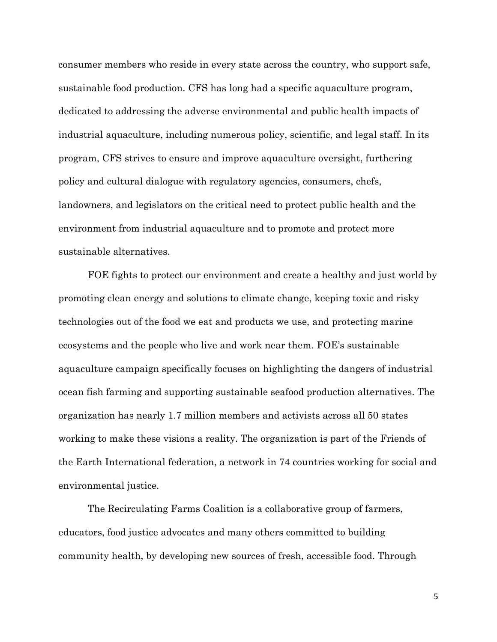consumer members who reside in every state across the country, who support safe, sustainable food production. CFS has long had a specific aquaculture program, dedicated to addressing the adverse environmental and public health impacts of industrial aquaculture, including numerous policy, scientific, and legal staff. In its program, CFS strives to ensure and improve aquaculture oversight, furthering policy and cultural dialogue with regulatory agencies, consumers, chefs, landowners, and legislators on the critical need to protect public health and the environment from industrial aquaculture and to promote and protect more sustainable alternatives.

FOE fights to protect our environment and create a healthy and just world by promoting clean energy and solutions to climate change, keeping toxic and risky technologies out of the food we eat and products we use, and protecting marine ecosystems and the people who live and work near them. FOE's sustainable aquaculture campaign specifically focuses on highlighting the dangers of industrial ocean fish farming and supporting sustainable seafood production alternatives. The organization has nearly 1.7 million members and activists across all 50 states working to make these visions a reality. The organization is part of the Friends of the Earth International federation, a network in 74 countries working for social and environmental justice.

The Recirculating Farms Coalition is a collaborative group of farmers, educators, food justice advocates and many others committed to building community health, by developing new sources of fresh, accessible food. Through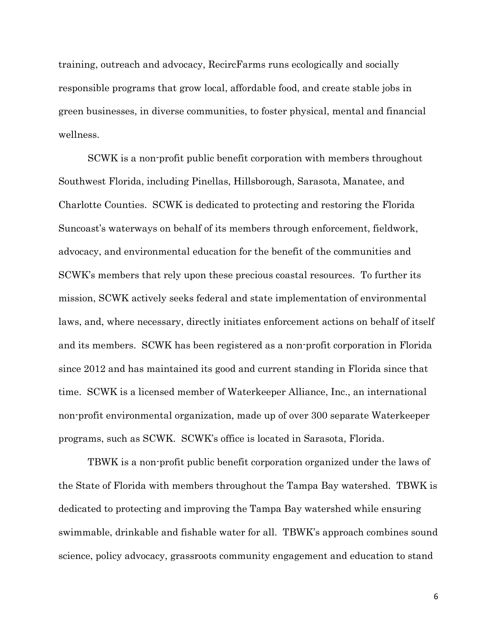training, outreach and advocacy, RecircFarms runs ecologically and socially responsible programs that grow local, affordable food, and create stable jobs in green businesses, in diverse communities, to foster physical, mental and financial wellness.

SCWK is a non-profit public benefit corporation with members throughout Southwest Florida, including Pinellas, Hillsborough, Sarasota, Manatee, and Charlotte Counties. SCWK is dedicated to protecting and restoring the Florida Suncoast's waterways on behalf of its members through enforcement, fieldwork, advocacy, and environmental education for the benefit of the communities and SCWK's members that rely upon these precious coastal resources. To further its mission, SCWK actively seeks federal and state implementation of environmental laws, and, where necessary, directly initiates enforcement actions on behalf of itself and its members. SCWK has been registered as a non-profit corporation in Florida since 2012 and has maintained its good and current standing in Florida since that time. SCWK is a licensed member of Waterkeeper Alliance, Inc., an international non-profit environmental organization, made up of over 300 separate Waterkeeper programs, such as SCWK. SCWK's office is located in Sarasota, Florida.

TBWK is a non-profit public benefit corporation organized under the laws of the State of Florida with members throughout the Tampa Bay watershed. TBWK is dedicated to protecting and improving the Tampa Bay watershed while ensuring swimmable, drinkable and fishable water for all. TBWK's approach combines sound science, policy advocacy, grassroots community engagement and education to stand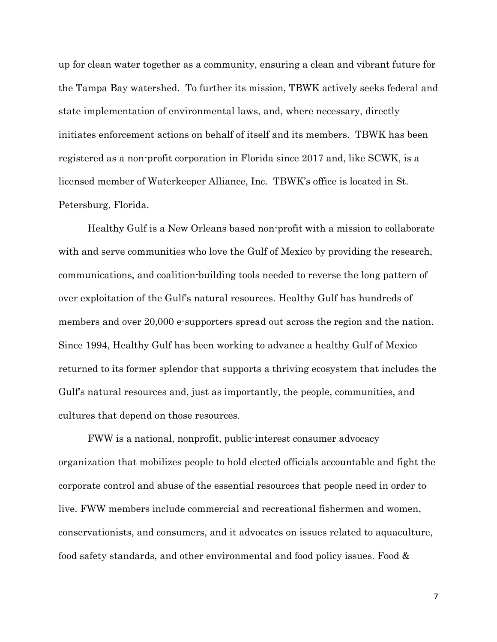up for clean water together as a community, ensuring a clean and vibrant future for the Tampa Bay watershed. To further its mission, TBWK actively seeks federal and state implementation of environmental laws, and, where necessary, directly initiates enforcement actions on behalf of itself and its members. TBWK has been registered as a non-profit corporation in Florida since 2017 and, like SCWK, is a licensed member of Waterkeeper Alliance, Inc. TBWK's office is located in St. Petersburg, Florida.

Healthy Gulf is a New Orleans based non-profit with a mission to collaborate with and serve communities who love the Gulf of Mexico by providing the research, communications, and coalition-building tools needed to reverse the long pattern of over exploitation of the Gulf's natural resources. Healthy Gulf has hundreds of members and over 20,000 e-supporters spread out across the region and the nation. Since 1994, Healthy Gulf has been working to advance a healthy Gulf of Mexico returned to its former splendor that supports a thriving ecosystem that includes the Gulf's natural resources and, just as importantly, the people, communities, and cultures that depend on those resources.

FWW is a national, nonprofit, public-interest consumer advocacy organization that mobilizes people to hold elected officials accountable and fight the corporate control and abuse of the essential resources that people need in order to live. FWW members include commercial and recreational fishermen and women, conservationists, and consumers, and it advocates on issues related to aquaculture, food safety standards, and other environmental and food policy issues. Food &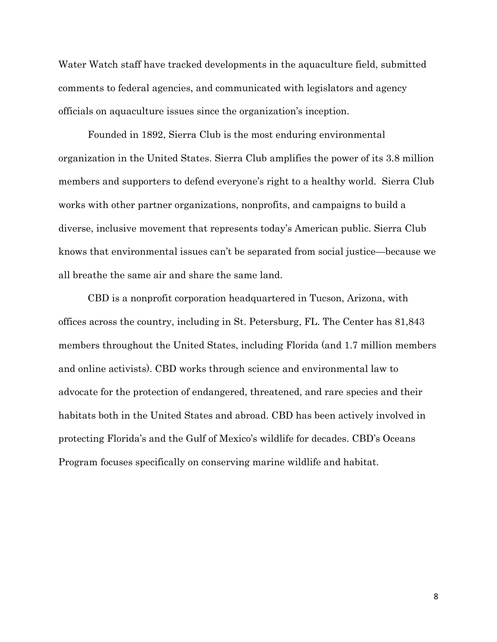Water Watch staff have tracked developments in the aquaculture field, submitted comments to federal agencies, and communicated with legislators and agency officials on aquaculture issues since the organization's inception.

Founded in 1892, Sierra Club is the most enduring environmental organization in the United States. Sierra Club amplifies the power of its 3.8 million members and supporters to defend everyone's right to a healthy world. Sierra Club works with other partner organizations, nonprofits, and campaigns to build a diverse, inclusive movement that represents today's American public. Sierra Club knows that environmental issues can't be separated from social justice—because we all breathe the same air and share the same land.

CBD is a nonprofit corporation headquartered in Tucson, Arizona, with offices across the country, including in St. Petersburg, FL. The Center has 81,843 members throughout the United States, including Florida (and 1.7 million members and online activists). CBD works through science and environmental law to advocate for the protection of endangered, threatened, and rare species and their habitats both in the United States and abroad. CBD has been actively involved in protecting Florida's and the Gulf of Mexico's wildlife for decades. CBD's Oceans Program focuses specifically on conserving marine wildlife and habitat.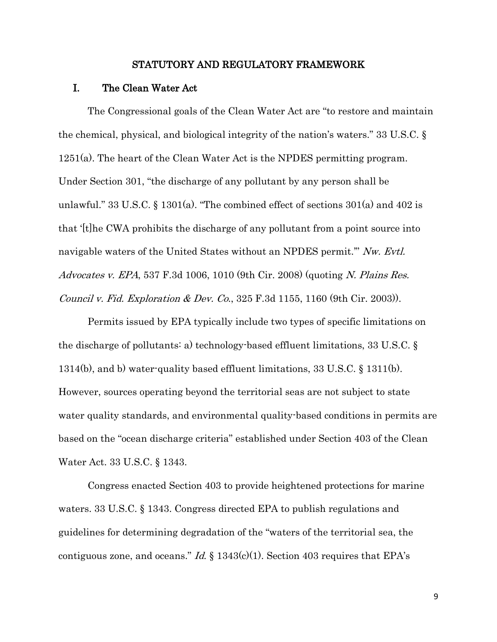#### <span id="page-19-8"></span><span id="page-19-3"></span><span id="page-19-2"></span><span id="page-19-1"></span><span id="page-19-0"></span>STATUTORY AND REGULATORY FRAMEWORK

#### I. The Clean Water Act

<span id="page-19-4"></span>The Congressional goals of the Clean Water Act are "to restore and maintain the chemical, physical, and biological integrity of the nation's waters." 33 U.S.C. § 1251(a). The heart of the Clean Water Act is the NPDES permitting program. Under Section 301, "the discharge of any pollutant by any person shall be unlawful." 33 U.S.C. § 1301(a). "The combined effect of sections  $301(a)$  and  $402$  is that '[t]he CWA prohibits the discharge of any pollutant from a point source into navigable waters of the United States without an NPDES permit." Nw. Evtl. Advocates v. EPA, 537 F.3d 1006, 1010 (9th Cir. 2008) (quoting N. Plains Res. Council v. Fid. Exploration & Dev. Co., 325 F.3d 1155, 1160 (9th Cir. 2003)).

<span id="page-19-6"></span><span id="page-19-5"></span>Permits issued by EPA typically include two types of specific limitations on the discharge of pollutants: a) technology-based effluent limitations, 33 U.S.C. § 1314(b), and b) water-quality based effluent limitations, 33 U.S.C. § 1311(b). However, sources operating beyond the territorial seas are not subject to state water quality standards, and environmental quality-based conditions in permits are based on the "ocean discharge criteria" established under Section 403 of the Clean Water Act. 33 U.S.C. § 1343.

<span id="page-19-7"></span>Congress enacted Section 403 to provide heightened protections for marine waters. 33 U.S.C. § 1343. Congress directed EPA to publish regulations and guidelines for determining degradation of the "waters of the territorial sea, the contiguous zone, and oceans." Id.  $\S 1343(c)(1)$ . Section 403 requires that EPA's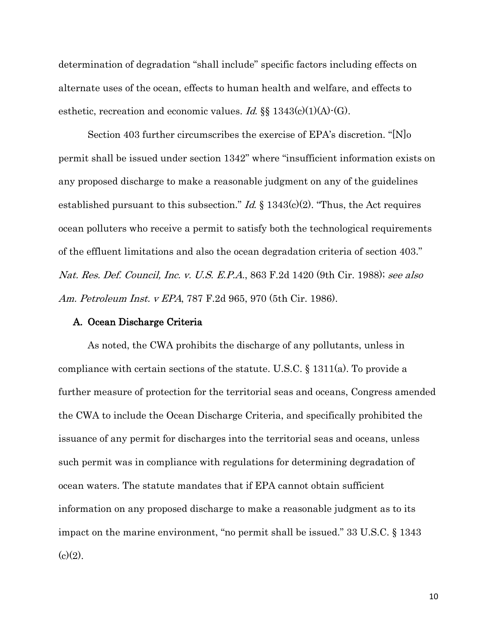determination of degradation "shall include" specific factors including effects on alternate uses of the ocean, effects to human health and welfare, and effects to esthetic, recreation and economic values. Id.  $\S$  1343(c)(1)(A) $\cdot$ (G).

<span id="page-20-4"></span>Section 403 further circumscribes the exercise of EPA's discretion. "[N]o permit shall be issued under section 1342" where "insufficient information exists on any proposed discharge to make a reasonable judgment on any of the guidelines established pursuant to this subsection." *Id.*  $\S 1343(c)(2)$ . "Thus, the Act requires ocean polluters who receive a permit to satisfy both the technological requirements of the effluent limitations and also the ocean degradation criteria of section 403." Nat. Res. Def. Council, Inc. v. U.S. E.P.A., 863 F.2d 1420 (9th Cir. 1988); see also Am. Petroleum Inst. v EPA, 787 F.2d 965, 970 (5th Cir. 1986).

#### <span id="page-20-3"></span><span id="page-20-2"></span><span id="page-20-1"></span><span id="page-20-0"></span>A. Ocean Discharge Criteria

As noted, the CWA prohibits the discharge of any pollutants, unless in compliance with certain sections of the statute. U.S.C. § 1311(a). To provide a further measure of protection for the territorial seas and oceans, Congress amended the CWA to include the Ocean Discharge Criteria, and specifically prohibited the issuance of any permit for discharges into the territorial seas and oceans, unless such permit was in compliance with regulations for determining degradation of ocean waters. The statute mandates that if EPA cannot obtain sufficient information on any proposed discharge to make a reasonable judgment as to its impact on the marine environment, "no permit shall be issued." 33 U.S.C. § 1343  $(c)(2)$ .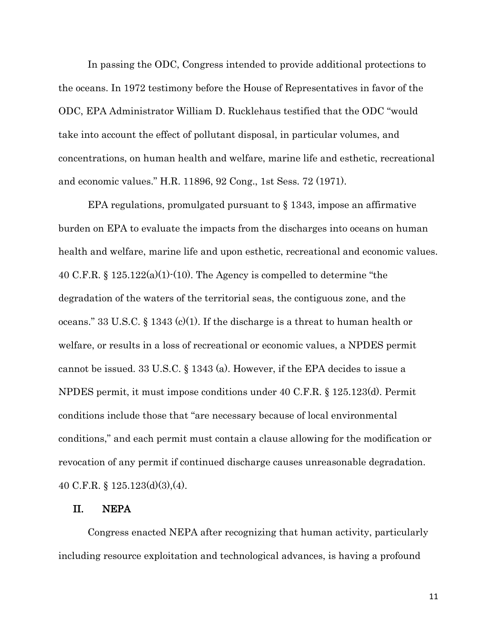In passing the ODC, Congress intended to provide additional protections to the oceans. In 1972 testimony before the House of Representatives in favor of the ODC, EPA Administrator William D. Rucklehaus testified that the ODC "would take into account the effect of pollutant disposal, in particular volumes, and concentrations, on human health and welfare, marine life and esthetic, recreational and economic values." H.R. 11896, 92 Cong., 1st Sess. 72 (1971).

<span id="page-21-7"></span><span id="page-21-4"></span><span id="page-21-2"></span>EPA regulations, promulgated pursuant to § 1343, impose an affirmative burden on EPA to evaluate the impacts from the discharges into oceans on human health and welfare, marine life and upon esthetic, recreational and economic values. 40 C.F.R. § 125.122(a)(1)-(10). The Agency is compelled to determine "the degradation of the waters of the territorial seas, the contiguous zone, and the oceans." 33 U.S.C. § 1343 (c)(1). If the discharge is a threat to human health or welfare, or results in a loss of recreational or economic values, a NPDES permit cannot be issued. 33 U.S.C. § 1343 (a). However, if the EPA decides to issue a NPDES permit, it must impose conditions under 40 C.F.R. § 125.123(d). Permit conditions include those that "are necessary because of local environmental conditions," and each permit must contain a clause allowing for the modification or revocation of any permit if continued discharge causes unreasonable degradation. 40 C.F.R. § 125.123(d)(3),(4).

## <span id="page-21-6"></span><span id="page-21-5"></span><span id="page-21-3"></span><span id="page-21-1"></span><span id="page-21-0"></span>II. NEPA

Congress enacted NEPA after recognizing that human activity, particularly including resource exploitation and technological advances, is having a profound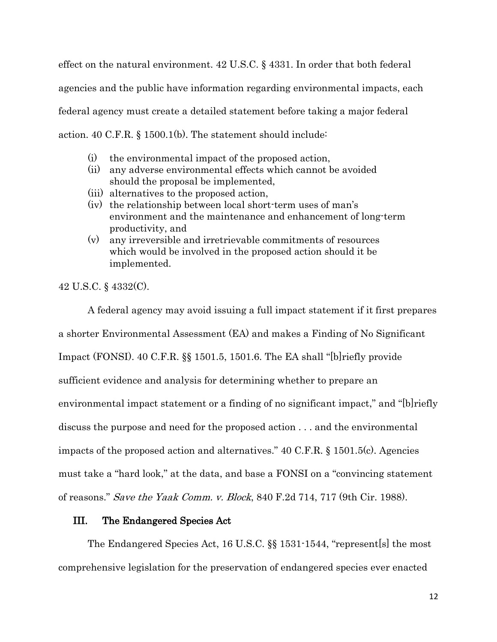<span id="page-22-2"></span>effect on the natural environment. 42 U.S.C. § 4331. In order that both federal agencies and the public have information regarding environmental impacts, each federal agency must create a detailed statement before taking a major federal action. 40 C.F.R. § 1500.1(b). The statement should include:

- <span id="page-22-5"></span>(i) the environmental impact of the proposed action,
- (ii) any adverse environmental effects which cannot be avoided should the proposal be implemented,
- (iii) alternatives to the proposed action,
- (iv) the relationship between local short-term uses of man's environment and the maintenance and enhancement of long-term productivity, and
- (v) any irreversible and irretrievable commitments of resources which would be involved in the proposed action should it be implemented.

<span id="page-22-3"></span>42 U.S.C. § 4332(C).

<span id="page-22-6"></span>A federal agency may avoid issuing a full impact statement if it first prepares a shorter Environmental Assessment (EA) and makes a Finding of No Significant Impact (FONSI). 40 C.F.R. §§ 1501.5, 1501.6. The EA shall "[b]riefly provide sufficient evidence and analysis for determining whether to prepare an environmental impact statement or a finding of no significant impact," and "[b]riefly discuss the purpose and need for the proposed action . . . and the environmental impacts of the proposed action and alternatives." 40 C.F.R. § 1501.5(c). Agencies must take a "hard look," at the data, and base a FONSI on a "convincing statement of reasons." Save the Yaak Comm. v. Block, 840 F.2d 714, 717 (9th Cir. 1988).

## <span id="page-22-7"></span><span id="page-22-4"></span><span id="page-22-1"></span><span id="page-22-0"></span>III. The Endangered Species Act

The Endangered Species Act, 16 U.S.C. §§ 1531-1544, "represent[s] the most comprehensive legislation for the preservation of endangered species ever enacted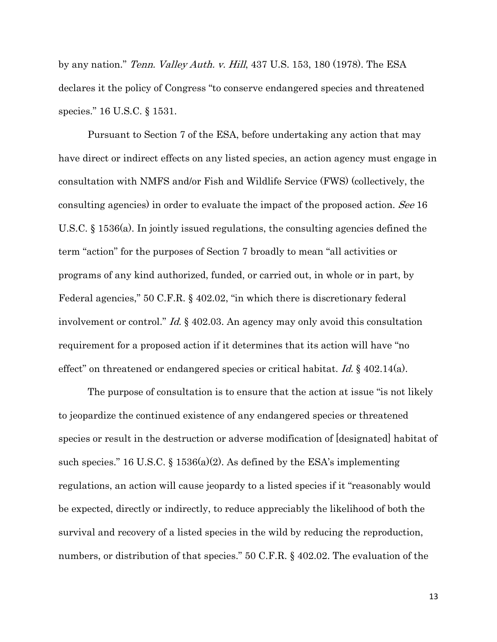<span id="page-23-0"></span>by any nation." Tenn. Valley Auth. v. Hill, 437 U.S. 153, 180 (1978). The ESA declares it the policy of Congress "to conserve endangered species and threatened species." 16 U.S.C. § 1531.

<span id="page-23-2"></span><span id="page-23-1"></span>Pursuant to Section 7 of the ESA, before undertaking any action that may have direct or indirect effects on any listed species, an action agency must engage in consultation with NMFS and/or Fish and Wildlife Service (FWS) (collectively, the consulting agencies) in order to evaluate the impact of the proposed action. See 16 U.S.C. § 1536(a). In jointly issued regulations, the consulting agencies defined the term "action" for the purposes of Section 7 broadly to mean "all activities or programs of any kind authorized, funded, or carried out, in whole or in part, by Federal agencies," 50 C.F.R. § 402.02, "in which there is discretionary federal involvement or control." Id. § 402.03. An agency may only avoid this consultation requirement for a proposed action if it determines that its action will have "no effect" on threatened or endangered species or critical habitat. Id.  $\S$  402.14(a).

<span id="page-23-4"></span><span id="page-23-3"></span>The purpose of consultation is to ensure that the action at issue "is not likely to jeopardize the continued existence of any endangered species or threatened species or result in the destruction or adverse modification of [designated] habitat of such species." 16 U.S.C.  $\S$  1536(a)(2). As defined by the ESA's implementing regulations, an action will cause jeopardy to a listed species if it "reasonably would be expected, directly or indirectly, to reduce appreciably the likelihood of both the survival and recovery of a listed species in the wild by reducing the reproduction, numbers, or distribution of that species." 50 C.F.R. § 402.02. The evaluation of the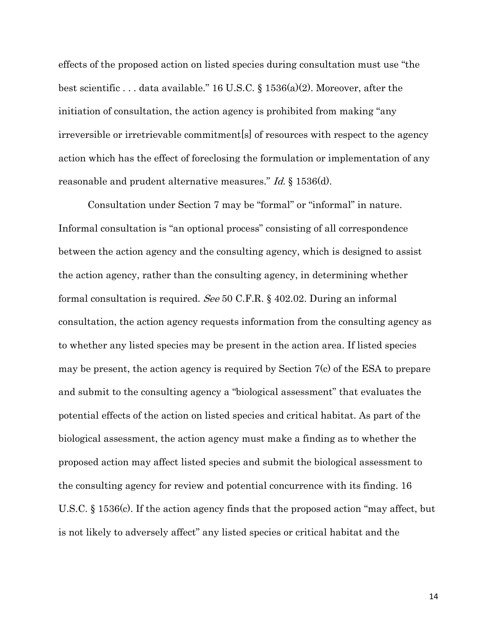<span id="page-24-0"></span>effects of the proposed action on listed species during consultation must use "the best scientific . . . data available." 16 U.S.C. § 1536(a)(2). Moreover, after the initiation of consultation, the action agency is prohibited from making "any irreversible or irretrievable commitment[s] of resources with respect to the agency action which has the effect of foreclosing the formulation or implementation of any reasonable and prudent alternative measures." Id. § 1536(d).

<span id="page-24-2"></span><span id="page-24-1"></span>Consultation under Section 7 may be "formal" or "informal" in nature. Informal consultation is "an optional process" consisting of all correspondence between the action agency and the consulting agency, which is designed to assist the action agency, rather than the consulting agency, in determining whether formal consultation is required. See 50 C.F.R. § 402.02. During an informal consultation, the action agency requests information from the consulting agency as to whether any listed species may be present in the action area. If listed species may be present, the action agency is required by Section 7(c) of the ESA to prepare and submit to the consulting agency a "biological assessment" that evaluates the potential effects of the action on listed species and critical habitat. As part of the biological assessment, the action agency must make a finding as to whether the proposed action may affect listed species and submit the biological assessment to the consulting agency for review and potential concurrence with its finding. 16 U.S.C. § 1536(c). If the action agency finds that the proposed action "may affect, but is not likely to adversely affect" any listed species or critical habitat and the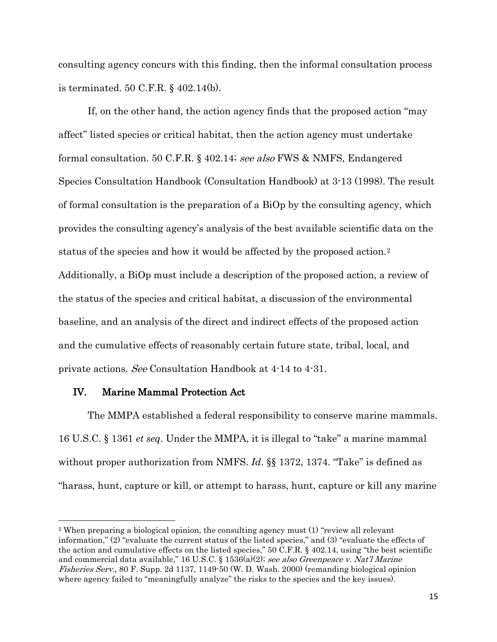<span id="page-25-5"></span>consulting agency concurs with this finding, then the informal consultation process is terminated. 50 C.F.R. § 402.14(b).

<span id="page-25-4"></span>If, on the other hand, the action agency finds that the proposed action "may affect" listed species or critical habitat, then the action agency must undertake formal consultation. 50 C.F.R. § 402.14; see also FWS & NMFS, Endangered Species Consultation Handbook (Consultation Handbook) at 3-13 (1998). The result of formal consultation is the preparation of a BiOp by the consulting agency, which provides the consulting agency's analysis of the best available scientific data on the status of the species and how it would be affected by the proposed action.[2](#page-25-6) Additionally, a BiOp must include a description of the proposed action, a review of the status of the species and critical habitat, a discussion of the environmental baseline, and an analysis of the direct and indirect effects of the proposed action and the cumulative effects of reasonably certain future state, tribal, local, and private actions. See Consultation Handbook at 4-14 to 4-31.

### <span id="page-25-3"></span><span id="page-25-0"></span>IV. Marine Mammal Protection Act

l

The MMPA established a federal responsibility to conserve marine mammals. 16 U.S.C. § 1361 *et seq*. Under the MMPA, it is illegal to "take" a marine mammal without proper authorization from NMFS. *Id*. §§ 1372, 1374. "Take" is defined as "harass, hunt, capture or kill, or attempt to harass, hunt, capture or kill any marine

<span id="page-25-6"></span><span id="page-25-2"></span><span id="page-25-1"></span><sup>2</sup> When preparing a biological opinion, the consulting agency must (1) "review all relevant information," (2) "evaluate the current status of the listed species," and (3) "evaluate the effects of the action and cumulative effects on the listed species," 50 C.F.R. § 402.14, using "the best scientific and commercial data available," 16 U.S.C. § 1536(a)(2); see also Greenpeace v. Nat'l Marine Fisheries Serv., 80 F. Supp. 2d 1137, 1149-50 (W. D. Wash. 2000) (remanding biological opinion where agency failed to "meaningfully analyze" the risks to the species and the key issues).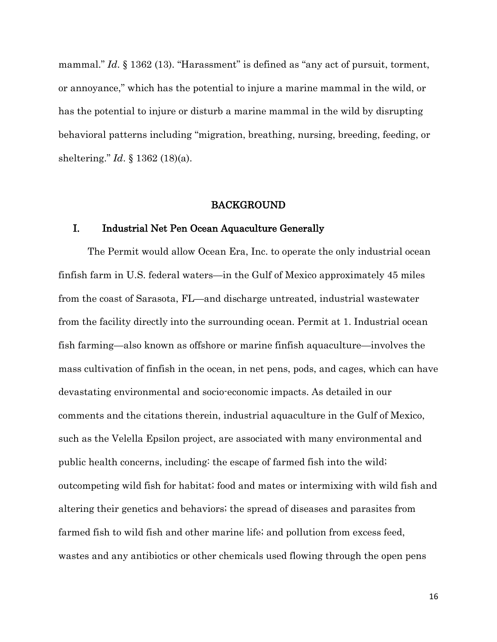mammal." *Id.* § 1362 (13). "Harassment" is defined as "any act of pursuit, torment, or annoyance," which has the potential to injure a marine mammal in the wild, or has the potential to injure or disturb a marine mammal in the wild by disrupting behavioral patterns including "migration, breathing, nursing, breeding, feeding, or sheltering." *Id*. § 1362 (18)(a).

#### <span id="page-26-1"></span><span id="page-26-0"></span>BACKGROUND

## I. Industrial Net Pen Ocean Aquaculture Generally

The Permit would allow Ocean Era, Inc. to operate the only industrial ocean finfish farm in U.S. federal waters—in the Gulf of Mexico approximately 45 miles from the coast of Sarasota, FL—and discharge untreated, industrial wastewater from the facility directly into the surrounding ocean. Permit at 1. Industrial ocean fish farming—also known as offshore or marine finfish aquaculture—involves the mass cultivation of finfish in the ocean, in net pens, pods, and cages, which can have devastating environmental and socio-economic impacts. As detailed in our comments and the citations therein, industrial aquaculture in the Gulf of Mexico, such as the Velella Epsilon project, are associated with many environmental and public health concerns, including: the escape of farmed fish into the wild; outcompeting wild fish for habitat; food and mates or intermixing with wild fish and altering their genetics and behaviors; the spread of diseases and parasites from farmed fish to wild fish and other marine life; and pollution from excess feed, wastes and any antibiotics or other chemicals used flowing through the open pens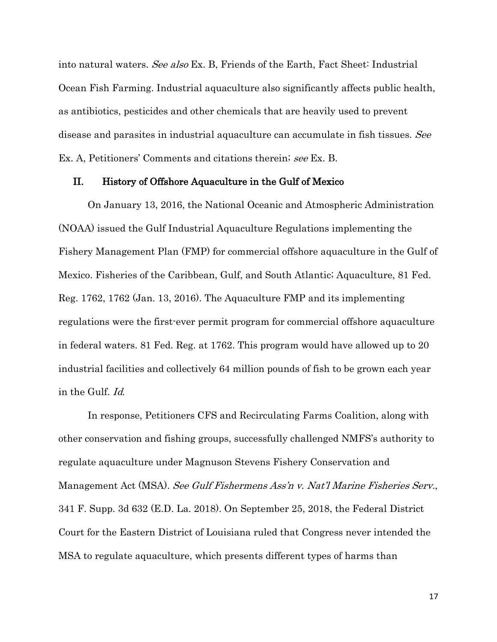into natural waters. See also Ex. B, Friends of the Earth, Fact Sheet: Industrial Ocean Fish Farming. Industrial aquaculture also significantly affects public health, as antibiotics, pesticides and other chemicals that are heavily used to prevent disease and parasites in industrial aquaculture can accumulate in fish tissues. See Ex. A, Petitioners' Comments and citations therein; see Ex. B.

#### <span id="page-27-5"></span><span id="page-27-0"></span>II. History of Offshore Aquaculture in the Gulf of Mexico

On January 13, 2016, the National Oceanic and Atmospheric Administration (NOAA) issued the Gulf Industrial Aquaculture Regulations implementing the Fishery Management Plan (FMP) for commercial offshore aquaculture in the Gulf of Mexico. Fisheries of the Caribbean, Gulf, and South Atlantic; Aquaculture, 81 Fed. Reg. 1762, 1762 (Jan. 13, 2016). The Aquaculture FMP and its implementing regulations were the first-ever permit program for commercial offshore aquaculture in federal waters. 81 Fed. Reg. at 1762. This program would have allowed up to 20 industrial facilities and collectively 64 million pounds of fish to be grown each year in the Gulf. Id.

<span id="page-27-4"></span><span id="page-27-3"></span><span id="page-27-2"></span><span id="page-27-1"></span>In response, Petitioners CFS and Recirculating Farms Coalition, along with other conservation and fishing groups, successfully challenged NMFS's authority to regulate aquaculture under Magnuson Stevens Fishery Conservation and Management Act (MSA). See Gulf Fishermens Ass'n v. Nat'l Marine Fisheries Serv., 341 F. Supp. 3d 632 (E.D. La. 2018). On September 25, 2018, the Federal District Court for the Eastern District of Louisiana ruled that Congress never intended the MSA to regulate aquaculture, which presents different types of harms than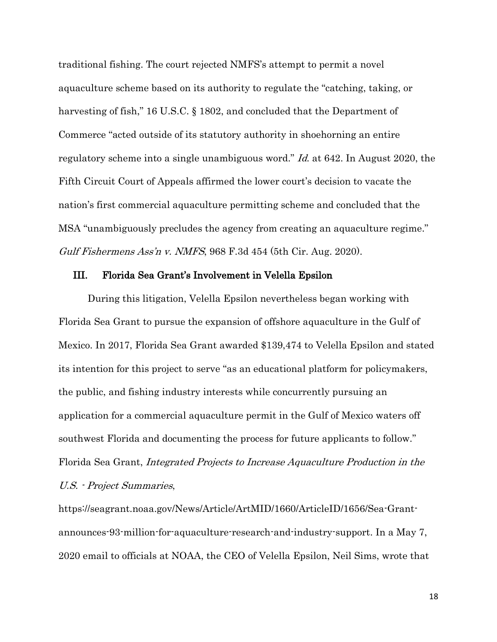<span id="page-28-3"></span>traditional fishing. The court rejected NMFS's attempt to permit a novel aquaculture scheme based on its authority to regulate the "catching, taking, or harvesting of fish," 16 U.S.C. § 1802, and concluded that the Department of Commerce "acted outside of its statutory authority in shoehorning an entire regulatory scheme into a single unambiguous word." Id. at 642. In August 2020, the Fifth Circuit Court of Appeals affirmed the lower court's decision to vacate the nation's first commercial aquaculture permitting scheme and concluded that the MSA "unambiguously precludes the agency from creating an aquaculture regime." Gulf Fishermens Ass'n v. NMFS, 968 F.3d 454 (5th Cir. Aug. 2020).

#### <span id="page-28-4"></span><span id="page-28-2"></span><span id="page-28-1"></span><span id="page-28-0"></span>III. Florida Sea Grant's Involvement in Velella Epsilon

During this litigation, Velella Epsilon nevertheless began working with Florida Sea Grant to pursue the expansion of offshore aquaculture in the Gulf of Mexico. In 2017, Florida Sea Grant awarded \$139,474 to Velella Epsilon and stated its intention for this project to serve "as an educational platform for policymakers, the public, and fishing industry interests while concurrently pursuing an application for a commercial aquaculture permit in the Gulf of Mexico waters off southwest Florida and documenting the process for future applicants to follow." Florida Sea Grant, Integrated Projects to Increase Aquaculture Production in the U.S. - Project Summaries,

<span id="page-28-5"></span>[https://seagrant.noaa.gov/News/Article/ArtMID/1660/ArticleID/1656/Sea-Grant](https://seagrant.noaa.gov/News/Article/ArtMID/1660/ArticleID/1656/Sea-Grant-announces-93-million-for-aquaculture-research-and-industry-support)[announces-93-million-for-aquaculture-research-and-industry-support.](https://seagrant.noaa.gov/News/Article/ArtMID/1660/ArticleID/1656/Sea-Grant-announces-93-million-for-aquaculture-research-and-industry-support) In a May 7, 2020 email to officials at NOAA, the CEO of Velella Epsilon, Neil Sims, wrote that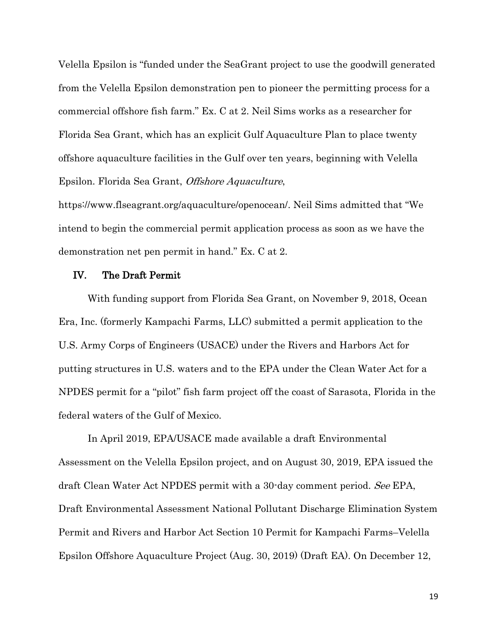Velella Epsilon is "funded under the SeaGrant project to use the goodwill generated from the Velella Epsilon demonstration pen to pioneer the permitting process for a commercial offshore fish farm." Ex. C at 2. Neil Sims works as a researcher for Florida Sea Grant, which has an explicit Gulf Aquaculture Plan to place twenty offshore aquaculture facilities in the Gulf over ten years, beginning with Velella Epsilon. Florida Sea Grant, Offshore Aquaculture,

<span id="page-29-4"></span>https://www.flseagrant.org/aquaculture/openocean/. Neil Sims admitted that "We intend to begin the commercial permit application process as soon as we have the demonstration net pen permit in hand." Ex. C at 2.

#### <span id="page-29-2"></span><span id="page-29-1"></span><span id="page-29-0"></span>IV. The Draft Permit

With funding support from Florida Sea Grant, on November 9, 2018, Ocean Era, Inc. (formerly Kampachi Farms, LLC) submitted a permit application to the U.S. Army Corps of Engineers (USACE) under the Rivers and Harbors Act for putting structures in U.S. waters and to the EPA under the Clean Water Act for a NPDES permit for a "pilot" fish farm project off the coast of Sarasota, Florida in the federal waters of the Gulf of Mexico.

<span id="page-29-3"></span>In April 2019, EPA/USACE made available a draft Environmental Assessment on the Velella Epsilon project, and on August 30, 2019, EPA issued the draft Clean Water Act NPDES permit with a 30-day comment period. See EPA, Draft Environmental Assessment National Pollutant Discharge Elimination System Permit and Rivers and Harbor Act Section 10 Permit for Kampachi Farms–Velella Epsilon Offshore Aquaculture Project (Aug. 30, 2019) (Draft EA). On December 12,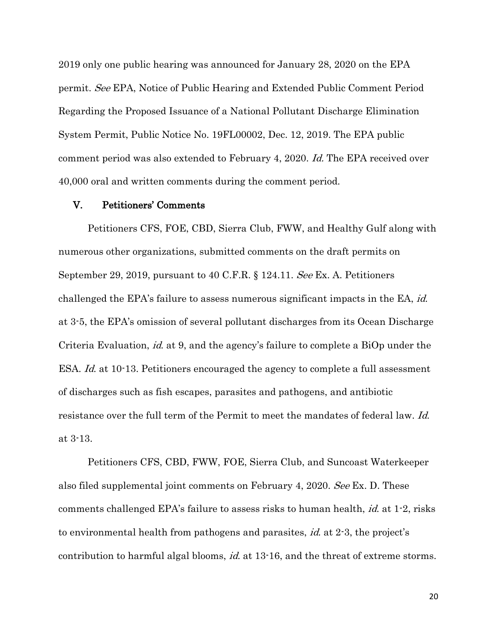<span id="page-30-2"></span>2019 only one public hearing was announced for January 28, 2020 on the EPA permit. See EPA, Notice of Public Hearing and Extended Public Comment Period Regarding the Proposed Issuance of a National Pollutant Discharge Elimination System Permit, Public Notice No. 19FL00002, Dec. 12, 2019. The EPA public comment period was also extended to February 4, 2020. Id. The EPA received over 40,000 oral and written comments during the comment period.

#### <span id="page-30-1"></span><span id="page-30-0"></span>V. Petitioners' Comments

Petitioners CFS, FOE, CBD, Sierra Club, FWW, and Healthy Gulf along with numerous other organizations, submitted comments on the draft permits on September 29, 2019, pursuant to 40 C.F.R. § 124.11. See Ex. A. Petitioners challenged the EPA's failure to assess numerous significant impacts in the EA, id. at 3-5, the EPA's omission of several pollutant discharges from its Ocean Discharge Criteria Evaluation, *id.* at 9, and the agency's failure to complete a BiOp under the ESA. *Id.* at 10-13. Petitioners encouraged the agency to complete a full assessment of discharges such as fish escapes, parasites and pathogens, and antibiotic resistance over the full term of the Permit to meet the mandates of federal law. Id. at 3-13.

Petitioners CFS, CBD, FWW, FOE, Sierra Club, and Suncoast Waterkeeper also filed supplemental joint comments on February 4, 2020. See Ex. D. These comments challenged EPA's failure to assess risks to human health, id. at 1-2, risks to environmental health from pathogens and parasites, id. at 2-3, the project's contribution to harmful algal blooms, id. at 13-16, and the threat of extreme storms.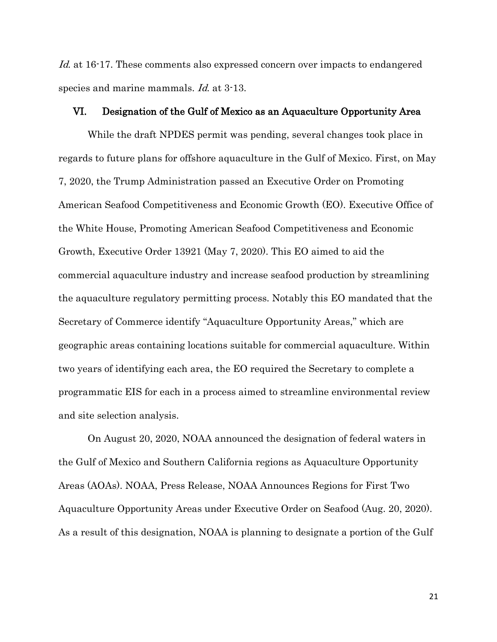Id. at 16-17. These comments also expressed concern over impacts to endangered species and marine mammals. Id. at 3-13.

### <span id="page-31-1"></span><span id="page-31-0"></span>VI. Designation of the Gulf of Mexico as an Aquaculture Opportunity Area

While the draft NPDES permit was pending, several changes took place in regards to future plans for offshore aquaculture in the Gulf of Mexico. First, on May 7, 2020, the Trump Administration passed an Executive Order on Promoting American Seafood Competitiveness and Economic Growth (EO). Executive Office of the White House, Promoting American Seafood Competitiveness and Economic Growth, Executive Order 13921 (May 7, 2020). This EO aimed to aid the commercial aquaculture industry and increase seafood production by streamlining the aquaculture regulatory permitting process. Notably this EO mandated that the Secretary of Commerce identify "Aquaculture Opportunity Areas," which are geographic areas containing locations suitable for commercial aquaculture. Within two years of identifying each area, the EO required the Secretary to complete a programmatic EIS for each in a process aimed to streamline environmental review and site selection analysis.

<span id="page-31-2"></span>On August 20, 2020, NOAA announced the designation of federal waters in the Gulf of Mexico and Southern California regions as Aquaculture Opportunity Areas (AOAs). NOAA, Press Release, NOAA Announces Regions for First Two Aquaculture Opportunity Areas under Executive Order on Seafood (Aug. 20, 2020). As a result of this designation, NOAA is planning to designate a portion of the Gulf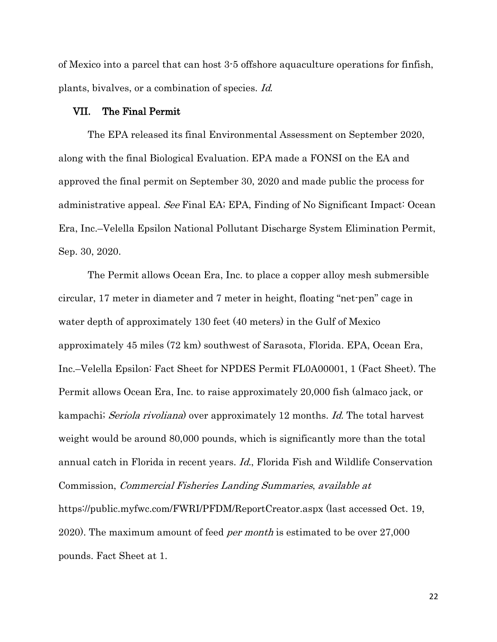of Mexico into a parcel that can host 3-5 offshore aquaculture operations for finfish, plants, bivalves, or a combination of species. Id.

#### <span id="page-32-2"></span><span id="page-32-0"></span>VII. The Final Permit

The EPA released its final Environmental Assessment on September 2020, along with the final Biological Evaluation. EPA made a FONSI on the EA and approved the final permit on September 30, 2020 and made public the process for administrative appeal. See Final EA; EPA, Finding of No Significant Impact: Ocean Era, Inc.–Velella Epsilon National Pollutant Discharge System Elimination Permit, Sep. 30, 2020.

<span id="page-32-1"></span>The Permit allows Ocean Era, Inc. to place a copper alloy mesh submersible circular, 17 meter in diameter and 7 meter in height, floating "net-pen" cage in water depth of approximately 130 feet (40 meters) in the Gulf of Mexico approximately 45 miles (72 km) southwest of Sarasota, Florida. EPA, Ocean Era, Inc.–Velella Epsilon: Fact Sheet for NPDES Permit FL0A00001, 1 (Fact Sheet). The Permit allows Ocean Era, Inc. to raise approximately 20,000 fish (almaco jack, or kampachi; Seriola rivoliana) over approximately 12 months. Id. The total harvest weight would be around 80,000 pounds, which is significantly more than the total annual catch in Florida in recent years. Id., Florida Fish and Wildlife Conservation Commission, Commercial Fisheries Landing Summaries, available at <https://public.myfwc.com/FWRI/PFDM/ReportCreator.aspx> (last accessed Oct. 19, 2020). The maximum amount of feed per month is estimated to be over 27,000 pounds. Fact Sheet at 1.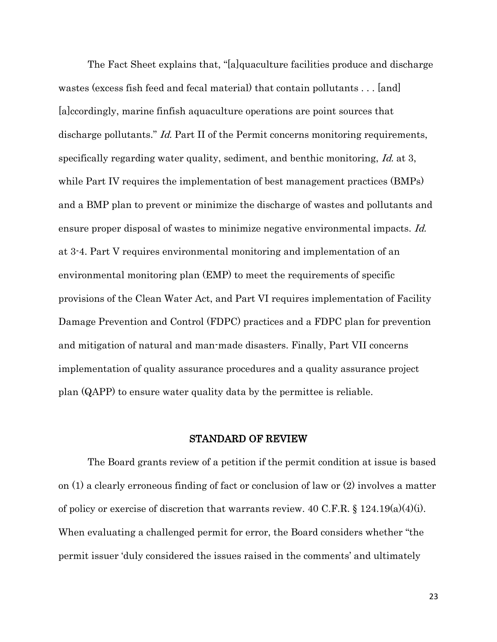<span id="page-33-3"></span>The Fact Sheet explains that, "[a]quaculture facilities produce and discharge wastes (excess fish feed and fecal material) that contain pollutants . . . [and] [a]ccordingly, marine finfish aquaculture operations are point sources that discharge pollutants." *Id.* Part II of the Permit concerns monitoring requirements, specifically regarding water quality, sediment, and benthic monitoring, Id. at 3, while Part IV requires the implementation of best management practices (BMPs) and a BMP plan to prevent or minimize the discharge of wastes and pollutants and ensure proper disposal of wastes to minimize negative environmental impacts. *Id.* at 3-4. Part V requires environmental monitoring and implementation of an environmental monitoring plan (EMP) to meet the requirements of specific provisions of the Clean Water Act, and Part VI requires implementation of Facility Damage Prevention and Control (FDPC) practices and a FDPC plan for prevention and mitigation of natural and man-made disasters. Finally, Part VII concerns implementation of quality assurance procedures and a quality assurance project plan (QAPP) to ensure water quality data by the permittee is reliable.

## <span id="page-33-2"></span><span id="page-33-1"></span><span id="page-33-0"></span>STANDARD OF REVIEW

The Board grants review of a petition if the permit condition at issue is based on (1) a clearly erroneous finding of fact or conclusion of law or (2) involves a matter of policy or exercise of discretion that warrants review. 40 C.F.R. § 124.19(a)(4)(i). When evaluating a challenged permit for error, the Board considers whether "the permit issuer 'duly considered the issues raised in the comments' and ultimately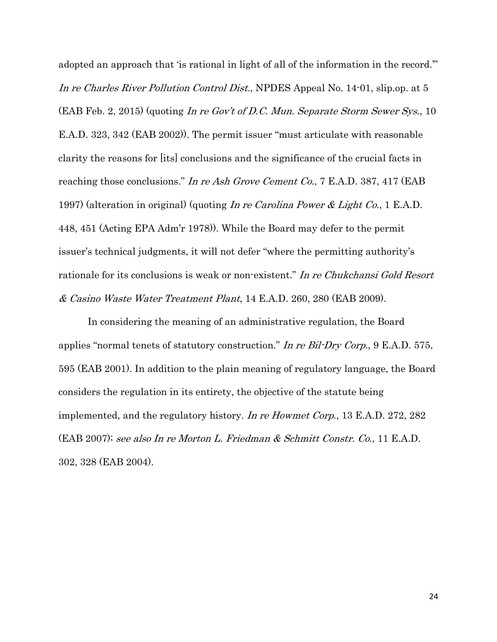<span id="page-34-5"></span><span id="page-34-0"></span>adopted an approach that 'is rational in light of all of the information in the record.'" In re Charles River Pollution Control Dist., NPDES Appeal No. 14-01, slip.op. at 5 (EAB Feb. 2, 2015) (quoting In re Gov't of D.C. Mun. Separate Storm Sewer Sys., 10 E.A.D. 323, 342 (EAB 2002)). The permit issuer "must articulate with reasonable clarity the reasons for [its] conclusions and the significance of the crucial facts in reaching those conclusions." In re Ash Grove Cement Co., 7 E.A.D. 387, 417 (EAB 1997) (alteration in original) (quoting In re Carolina Power & Light Co., 1 E.A.D. 448, 451 (Acting EPA Adm'r 1978)). While the Board may defer to the permit issuer's technical judgments, it will not defer "where the permitting authority's rationale for its conclusions is weak or non-existent." In re Chukchansi Gold Resort & Casino Waste Water Treatment Plant, 14 E.A.D. 260, 280 (EAB 2009).

<span id="page-34-4"></span><span id="page-34-3"></span><span id="page-34-2"></span><span id="page-34-1"></span>In considering the meaning of an administrative regulation, the Board applies "normal tenets of statutory construction." In re Bil-Dry Corp., 9 E.A.D. 575, 595 (EAB 2001). In addition to the plain meaning of regulatory language, the Board considers the regulation in its entirety, the objective of the statute being implemented, and the regulatory history. In re Howmet Corp., 13 E.A.D. 272, 282 (EAB 2007); see also In re Morton L. Friedman & Schmitt Constr. Co., 11 E.A.D. 302, 328 (EAB 2004).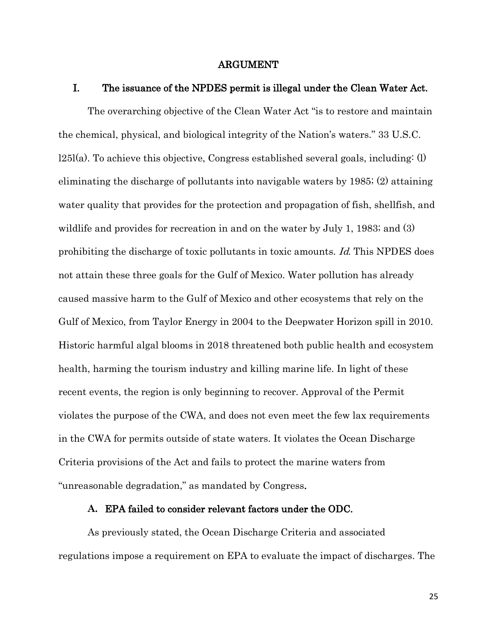#### <span id="page-35-3"></span><span id="page-35-1"></span><span id="page-35-0"></span>ARGUMENT

#### I. The issuance of the NPDES permit is illegal under the Clean Water Act.

The overarching objective of the Clean Water Act "is to restore and maintain the chemical, physical, and biological integrity of the Nation's waters." 33 U.S.C.  $125I(a)$ . To achieve this objective, Congress established several goals, including: (1) eliminating the discharge of pollutants into navigable waters by 1985; (2) attaining water quality that provides for the protection and propagation of fish, shellfish, and wildlife and provides for recreation in and on the water by July 1, 1983; and (3) prohibiting the discharge of toxic pollutants in toxic amounts. Id. This NPDES does not attain these three goals for the Gulf of Mexico. Water pollution has already caused massive harm to the Gulf of Mexico and other ecosystems that rely on the Gulf of Mexico, from Taylor Energy in 2004 to the Deepwater Horizon spill in 2010. Historic harmful algal blooms in 2018 threatened both public health and ecosystem health, harming the tourism industry and killing marine life. In light of these recent events, the region is only beginning to recover. Approval of the Permit violates the purpose of the CWA, and does not even meet the few lax requirements in the CWA for permits outside of state waters. It violates the Ocean Discharge Criteria provisions of the Act and fails to protect the marine waters from "unreasonable degradation," as mandated by Congress.

#### <span id="page-35-2"></span>**A.** EPA failed to consider relevant factors under the ODC.

As previously stated, the Ocean Discharge Criteria and associated regulations impose a requirement on EPA to evaluate the impact of discharges. The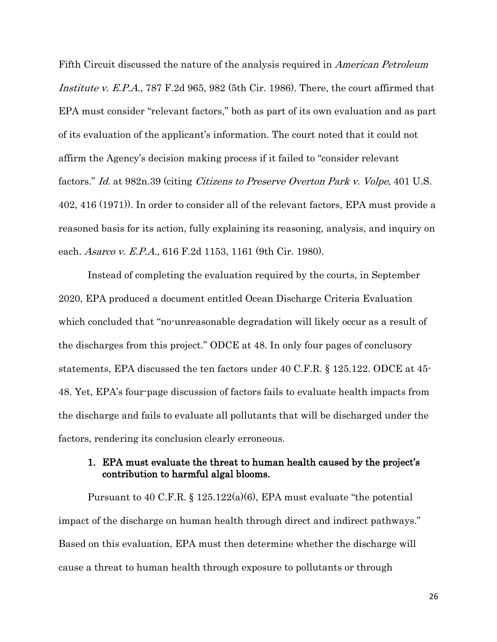<span id="page-36-1"></span>Fifth Circuit discussed the nature of the analysis required in American Petroleum Institute v. E.P.A., 787 F.2d 965, 982 (5th Cir. 1986). There, the court affirmed that EPA must consider "relevant factors," both as part of its own evaluation and as part of its evaluation of the applicant's information. The court noted that it could not affirm the Agency's decision making process if it failed to "consider relevant factors." Id. at 982n.39 (citing Citizens to Preserve Overton Park v. Volpe, 401 U.S. 402, 416 (1971)). In order to consider all of the relevant factors, EPA must provide a reasoned basis for its action, fully explaining its reasoning, analysis, and inquiry on each. *Asarco v. E.P.A.*, 616 F.2d 1153, 1161 (9th Cir. 1980).

<span id="page-36-2"></span>Instead of completing the evaluation required by the courts, in September 2020, EPA produced a document entitled Ocean Discharge Criteria Evaluation which concluded that "no-unreasonable degradation will likely occur as a result of the discharges from this project." ODCE at 48. In only four pages of conclusory statements, EPA discussed the ten factors under 40 C.F.R. § 125.122. ODCE at 45- 48. Yet, EPA's four-page discussion of factors fails to evaluate health impacts from the discharge and fails to evaluate all pollutants that will be discharged under the factors, rendering its conclusion clearly erroneous.

## <span id="page-36-4"></span><span id="page-36-3"></span><span id="page-36-0"></span>1. EPA must evaluate the threat to human health caused by the project's contribution to harmful algal blooms.

Pursuant to 40 C.F.R.  $\S$  125.122(a)(6), EPA must evaluate "the potential impact of the discharge on human health through direct and indirect pathways." Based on this evaluation, EPA must then determine whether the discharge will cause a threat to human health through exposure to pollutants or through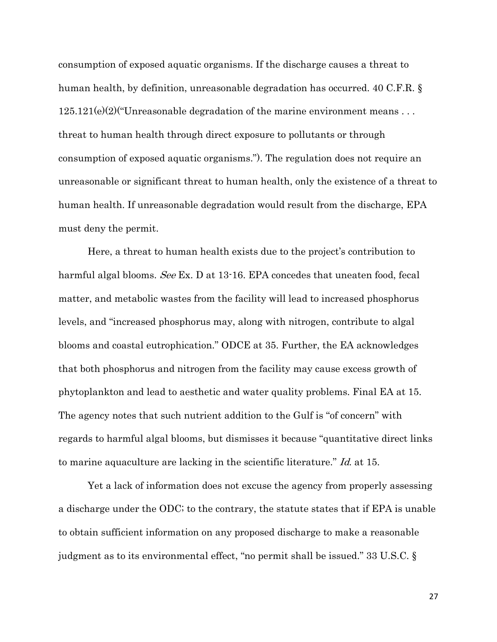<span id="page-37-1"></span>consumption of exposed aquatic organisms. If the discharge causes a threat to human health, by definition, unreasonable degradation has occurred. 40 C.F.R. §  $125.121(e)(2)$  Unreasonable degradation of the marine environment means ... threat to human health through direct exposure to pollutants or through consumption of exposed aquatic organisms."). The regulation does not require an unreasonable or significant threat to human health, only the existence of a threat to human health. If unreasonable degradation would result from the discharge, EPA must deny the permit.

Here, a threat to human health exists due to the project's contribution to harmful algal blooms. See Ex. D at 13-16. EPA concedes that uneaten food, fecal matter, and metabolic wastes from the facility will lead to increased phosphorus levels, and "increased phosphorus may, along with nitrogen, contribute to algal blooms and coastal eutrophication." ODCE at 35. Further, the EA acknowledges that both phosphorus and nitrogen from the facility may cause excess growth of phytoplankton and lead to aesthetic and water quality problems. Final EA at 15. The agency notes that such nutrient addition to the Gulf is "of concern" with regards to harmful algal blooms, but dismisses it because "quantitative direct links to marine aquaculture are lacking in the scientific literature." Id. at 15.

<span id="page-37-0"></span>Yet a lack of information does not excuse the agency from properly assessing a discharge under the ODC; to the contrary, the statute states that if EPA is unable to obtain sufficient information on any proposed discharge to make a reasonable judgment as to its environmental effect, "no permit shall be issued." 33 U.S.C. §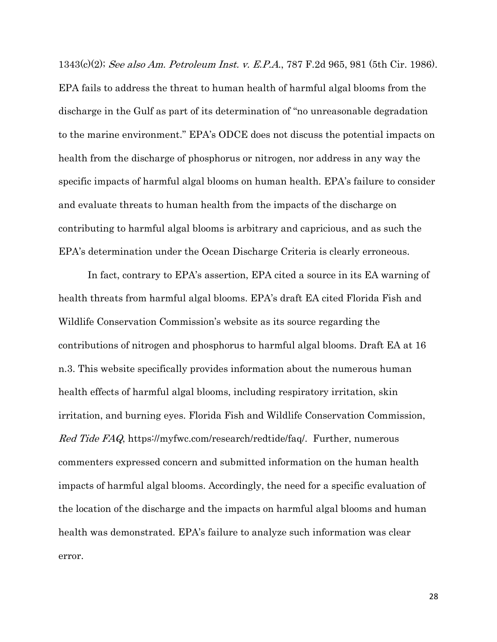<span id="page-38-0"></span>1343(c)(2); See also Am. Petroleum Inst. v. E.P.A., 787 F.2d 965, 981 (5th Cir. 1986). EPA fails to address the threat to human health of harmful algal blooms from the discharge in the Gulf as part of its determination of "no unreasonable degradation to the marine environment." EPA's ODCE does not discuss the potential impacts on health from the discharge of phosphorus or nitrogen, nor address in any way the specific impacts of harmful algal blooms on human health. EPA's failure to consider and evaluate threats to human health from the impacts of the discharge on contributing to harmful algal blooms is arbitrary and capricious, and as such the EPA's determination under the Ocean Discharge Criteria is clearly erroneous.

<span id="page-38-1"></span>In fact, contrary to EPA's assertion, EPA cited a source in its EA warning of health threats from harmful algal blooms. EPA's draft EA cited Florida Fish and Wildlife Conservation Commission's website as its source regarding the contributions of nitrogen and phosphorus to harmful algal blooms. Draft EA at 16 n.3. This website specifically provides information about the numerous human health effects of harmful algal blooms, including respiratory irritation, skin irritation, and burning eyes. Florida Fish and Wildlife Conservation Commission, Red Tide FAQ, https://myfwc.com/research/redtide/faq/. Further, numerous commenters expressed concern and submitted information on the human health impacts of harmful algal blooms. Accordingly, the need for a specific evaluation of the location of the discharge and the impacts on harmful algal blooms and human health was demonstrated. EPA's failure to analyze such information was clear error.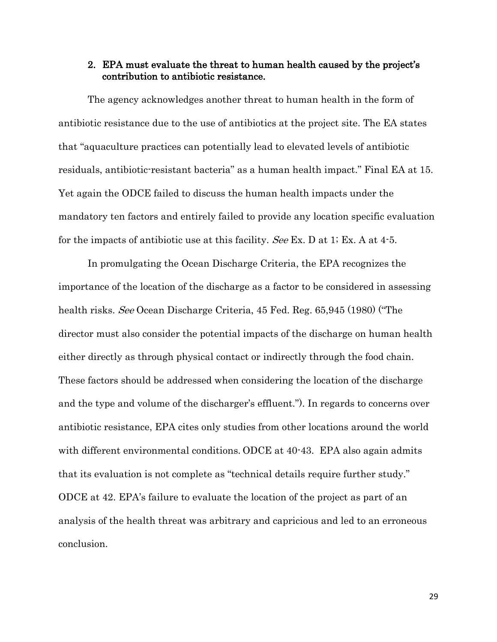## <span id="page-39-0"></span>2. EPA must evaluate the threat to human health caused by the project's contribution to antibiotic resistance.

The agency acknowledges another threat to human health in the form of antibiotic resistance due to the use of antibiotics at the project site. The EA states that "aquaculture practices can potentially lead to elevated levels of antibiotic residuals, antibiotic-resistant bacteria" as a human health impact." Final EA at 15. Yet again the ODCE failed to discuss the human health impacts under the mandatory ten factors and entirely failed to provide any location specific evaluation for the impacts of antibiotic use at this facility. See Ex. D at 1; Ex. A at 4-5.

<span id="page-39-1"></span>In promulgating the Ocean Discharge Criteria, the EPA recognizes the importance of the location of the discharge as a factor to be considered in assessing health risks. See Ocean Discharge Criteria, 45 Fed. Reg. 65,945 (1980) ("The director must also consider the potential impacts of the discharge on human health either directly as through physical contact or indirectly through the food chain. These factors should be addressed when considering the location of the discharge and the type and volume of the discharger's effluent."). In regards to concerns over antibiotic resistance, EPA cites only studies from other locations around the world with different environmental conditions. ODCE at 40-43. EPA also again admits that its evaluation is not complete as "technical details require further study." ODCE at 42. EPA's failure to evaluate the location of the project as part of an analysis of the health threat was arbitrary and capricious and led to an erroneous conclusion.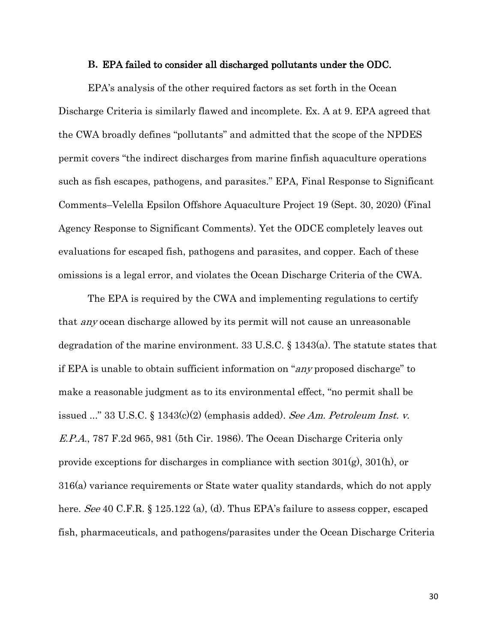#### <span id="page-40-0"></span>**B.** EPA failed to consider all discharged pollutants under the ODC.

EPA's analysis of the other required factors as set forth in the Ocean Discharge Criteria is similarly flawed and incomplete. Ex. A at 9. EPA agreed that the CWA broadly defines "pollutants" and admitted that the scope of the NPDES permit covers "the indirect discharges from marine finfish aquaculture operations such as fish escapes, pathogens, and parasites." EPA, Final Response to Significant Comments–Velella Epsilon Offshore Aquaculture Project 19 (Sept. 30, 2020) (Final Agency Response to Significant Comments). Yet the ODCE completely leaves out evaluations for escaped fish, pathogens and parasites, and copper. Each of these omissions is a legal error, and violates the Ocean Discharge Criteria of the CWA.

<span id="page-40-4"></span><span id="page-40-3"></span><span id="page-40-2"></span><span id="page-40-1"></span>The EPA is required by the CWA and implementing regulations to certify that any ocean discharge allowed by its permit will not cause an unreasonable degradation of the marine environment. 33 U.S.C. § 1343(a). The statute states that if EPA is unable to obtain sufficient information on "any proposed discharge" to make a reasonable judgment as to its environmental effect, "no permit shall be issued ..." 33 U.S.C.  $\S 1343(c)(2)$  (emphasis added). See Am. Petroleum Inst. v. E.P.A., 787 F.2d 965, 981 (5th Cir. 1986). The Ocean Discharge Criteria only provide exceptions for discharges in compliance with section 301(g), 301(h), or 316(a) variance requirements or State water quality standards, which do not apply here. See 40 C.F.R. § 125.122 (a), (d). Thus EPA's failure to assess copper, escaped fish, pharmaceuticals, and pathogens/parasites under the Ocean Discharge Criteria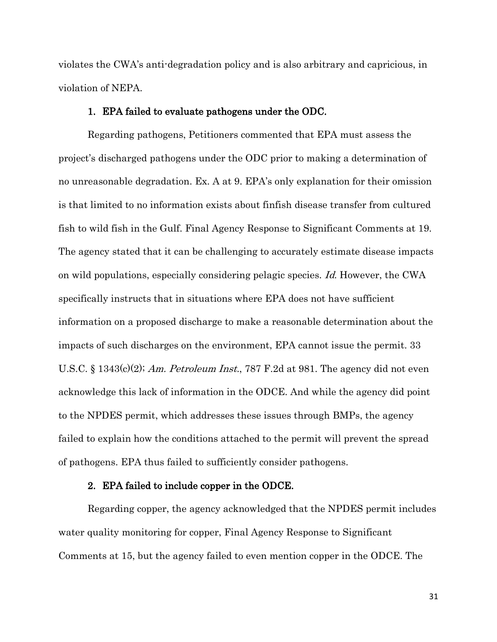violates the CWA's anti-degradation policy and is also arbitrary and capricious, in violation of NEPA.

## <span id="page-41-4"></span><span id="page-41-0"></span>1. EPA failed to evaluate pathogens under the ODC.

Regarding pathogens, Petitioners commented that EPA must assess the project's discharged pathogens under the ODC prior to making a determination of no unreasonable degradation. Ex. A at 9. EPA's only explanation for their omission is that limited to no information exists about finfish disease transfer from cultured fish to wild fish in the Gulf. Final Agency Response to Significant Comments at 19. The agency stated that it can be challenging to accurately estimate disease impacts on wild populations, especially considering pelagic species. Id. However, the CWA specifically instructs that in situations where EPA does not have sufficient information on a proposed discharge to make a reasonable determination about the impacts of such discharges on the environment, EPA cannot issue the permit. [33](https://1.next.westlaw.com/Link/Document/FullText?findType=L&pubNum=1000546&cite=33USCAS1343&originatingDoc=I20acf073736711e89d59c04243316042&refType=RB&originationContext=document&transitionType=DocumentItem&contextData=(sc.Search)#co_pp_fcf30000ea9c4)  U.S.C. § 1343 $(c)(2)$ ; Am. Petroleum Inst.[, 787 F.2d at 981.](https://1.next.westlaw.com/Link/Document/FullText?findType=Y&serNum=1986120291&pubNum=0000350&originatingDoc=I20acf073736711e89d59c04243316042&refType=RP&fi=co_pp_sp_350_981&originationContext=document&transitionType=DocumentItem&contextData=(sc.Search)#co_pp_sp_350_981) The agency did not even acknowledge this lack of information in the ODCE. And while the agency did point to the NPDES permit, which addresses these issues through BMPs, the agency failed to explain how the conditions attached to the permit will prevent the spread of pathogens. EPA thus failed to sufficiently consider pathogens.

## <span id="page-41-3"></span><span id="page-41-2"></span><span id="page-41-1"></span>2. EPA failed to include copper in the ODCE.

Regarding copper, the agency acknowledged that the NPDES permit includes water quality monitoring for copper, Final Agency Response to Significant Comments at 15, but the agency failed to even mention copper in the ODCE. The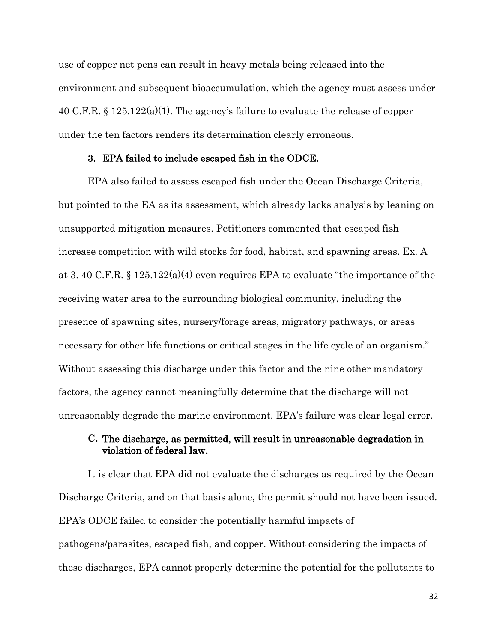<span id="page-42-2"></span>use of copper net pens can result in heavy metals being released into the environment and subsequent bioaccumulation, which the agency must assess under 40 C.F.R. § 125.122(a)(1). The agency's failure to evaluate the release of copper under the ten factors renders its determination clearly erroneous.

## <span id="page-42-0"></span>3. EPA failed to include escaped fish in the ODCE.

<span id="page-42-3"></span>EPA also failed to assess escaped fish under the Ocean Discharge Criteria, but pointed to the EA as its assessment, which already lacks analysis by leaning on unsupported mitigation measures. Petitioners commented that escaped fish increase competition with wild stocks for food, habitat, and spawning areas. Ex. A at 3.40 C.F.R. §  $125.122(a)(4)$  even requires EPA to evaluate "the importance of the receiving water area to the surrounding biological community, including the presence of spawning sites, nursery/forage areas, migratory pathways, or areas necessary for other life functions or critical stages in the life cycle of an organism." Without assessing this discharge under this factor and the nine other mandatory factors, the agency cannot meaningfully determine that the discharge will not unreasonably degrade the marine environment. EPA's failure was clear legal error.

## <span id="page-42-1"></span>**C.** The discharge, as permitted, will result in unreasonable degradation in violation of federal law.

It is clear that EPA did not evaluate the discharges as required by the Ocean Discharge Criteria, and on that basis alone, the permit should not have been issued. EPA's ODCE failed to consider the potentially harmful impacts of pathogens/parasites, escaped fish, and copper. Without considering the impacts of these discharges, EPA cannot properly determine the potential for the pollutants to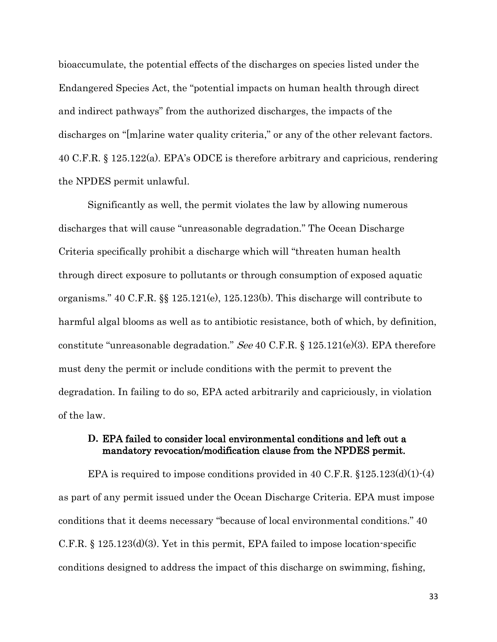<span id="page-43-1"></span>bioaccumulate, the potential effects of the discharges on species listed under the Endangered Species Act, the "potential impacts on human health through direct and indirect pathways" from the authorized discharges, the impacts of the discharges on "[m]arine water quality criteria," or any of the other relevant factors. [40 C.F.R. §](https://1.next.westlaw.com/Link/Document/FullText?findType=L&pubNum=1000547&cite=40CFRS125.122&originatingDoc=I20acf073736711e89d59c04243316042&refType=RB&originationContext=document&transitionType=DocumentItem&contextData=(sc.Search)#co_pp_7b9b000044381) 125.122(a). EPA's ODCE is therefore arbitrary and capricious, rendering the NPDES permit unlawful.

<span id="page-43-4"></span><span id="page-43-3"></span>Significantly as well, the permit violates the law by allowing numerous discharges that will cause "unreasonable degradation." The Ocean Discharge Criteria specifically prohibit a discharge which will "threaten human health through direct exposure to pollutants or through consumption of exposed aquatic organisms." 40 C.F.R. §§ 125.121(e), 125.123(b). This discharge will contribute to harmful algal blooms as well as to antibiotic resistance, both of which, by definition, constitute "unreasonable degradation." See 40 C.F.R. § 125.121(e)(3). EPA therefore must deny the permit or include conditions with the permit to prevent the degradation. In failing to do so, EPA acted arbitrarily and capriciously, in violation of the law.

## <span id="page-43-6"></span><span id="page-43-5"></span><span id="page-43-2"></span><span id="page-43-0"></span>**D.** EPA failed to consider local environmental conditions and left out a mandatory revocation/modification clause from the NPDES permit.

EPA is required to impose conditions provided in 40 C.F.R.  $$125.123(d)(1)-(4)$ as part of any permit issued under the Ocean Discharge Criteria. EPA must impose conditions that it deems necessary "because of local environmental conditions." 40 C.F.R. § 125.123(d)(3). Yet in this permit, EPA failed to impose location-specific conditions designed to address the impact of this discharge on swimming, fishing,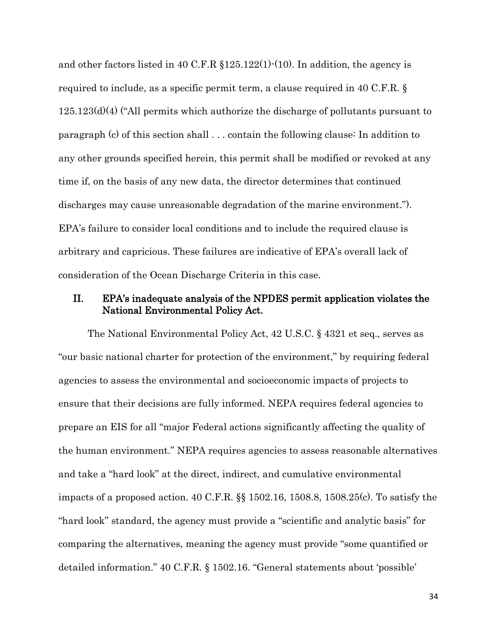<span id="page-44-3"></span><span id="page-44-2"></span>and other factors listed in 40 C.F.R  $$125.122(1)$  (10). In addition, the agency is required to include, as a specific permit term, a clause required in 40 C.F.R. §  $125.123(d)(4)$  ("All permits which authorize the discharge of pollutants pursuant to [paragraph \(c\)](https://www.law.cornell.edu/cfr/text/40/125.123#c) of this section shall . . . contain the following clause: In addition to any other grounds specified herein, this permit shall be modified or revoked at any time if, on the basis of any new data, the director determines that continued discharges may cause unreasonable degradation of the marine environment."). EPA's failure to consider local conditions and to include the required clause is arbitrary and capricious. These failures are indicative of EPA's overall lack of consideration of the Ocean Discharge Criteria in this case.

## <span id="page-44-0"></span>II. EPA's inadequate analysis of the NPDES permit application violates the National Environmental Policy Act.

<span id="page-44-5"></span><span id="page-44-4"></span><span id="page-44-1"></span>The National Environmental Policy Act, 42 U.S.C. § 4321 et seq., serves as "our basic national charter for protection of the environment," by requiring federal agencies to assess the environmental and socioeconomic impacts of projects to ensure that their decisions are fully informed. NEPA requires federal agencies to prepare an EIS for all "major Federal actions significantly affecting the quality of the human environment." NEPA requires agencies to assess reasonable alternatives and take a "hard look" at the direct, indirect, and cumulative environmental impacts of a proposed action. 40 C.F.R. §§ 1502.16, 1508.8, 1508.25(c). To satisfy the "hard look" standard, the agency must provide a "scientific and analytic basis" for comparing the alternatives, meaning the agency must provide "some quantified or detailed information." 40 C.F.R. § 1502.16. "General statements about 'possible'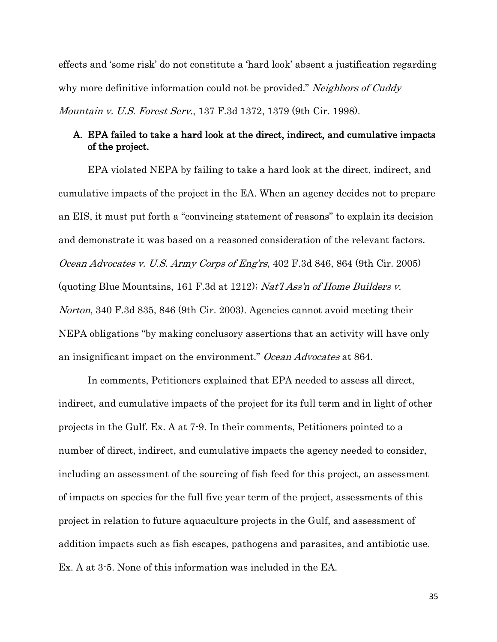effects and 'some risk' do not constitute a 'hard look' absent a justification regarding why more definitive information could not be provided." *Neighbors of Cuddy* Mountain v. U.S. Forest Serv., 137 F.3d 1372, 1379 (9th Cir. 1998).

## <span id="page-45-4"></span><span id="page-45-2"></span><span id="page-45-0"></span>A. EPA failed to take a hard look at the direct, indirect, and cumulative impacts of the project.

<span id="page-45-3"></span>EPA violated NEPA by failing to take a hard look at the direct, indirect, and cumulative impacts of the project in the EA. When an agency decides not to prepare an EIS, it must put forth a "convincing statement of reasons" to explain its decision and demonstrate it was based on a reasoned consideration of the relevant factors. Ocean Advocates v. U.S. Army Corps of Eng'rs, 402 F.3d 846, 864 (9th Cir. 2005) (quoting Blue Mountains, 161 F.3d at 1212); Nat'l Ass'n of Home Builders v. Norton, 340 F.3d 835, 846 (9th Cir. 2003). Agencies cannot avoid meeting their NEPA obligations "by making conclusory assertions that an activity will have only an insignificant impact on the environment." Ocean Advocates at 864.

<span id="page-45-1"></span>In comments, Petitioners explained that EPA needed to assess all direct, indirect, and cumulative impacts of the project for its full term and in light of other projects in the Gulf. Ex. A at 7-9. In their comments, Petitioners pointed to a number of direct, indirect, and cumulative impacts the agency needed to consider, including an assessment of the sourcing of fish feed for this project, an assessment of impacts on species for the full five year term of the project, assessments of this project in relation to future aquaculture projects in the Gulf, and assessment of addition impacts such as fish escapes, pathogens and parasites, and antibiotic use. Ex. A at 3-5. None of this information was included in the EA.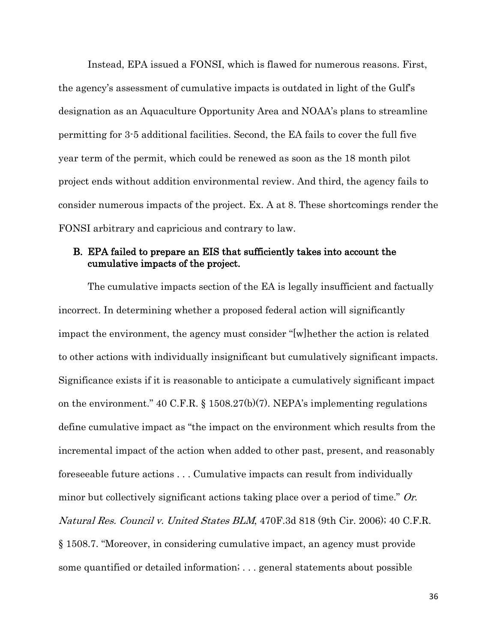Instead, EPA issued a FONSI, which is flawed for numerous reasons. First, the agency's assessment of cumulative impacts is outdated in light of the Gulf's designation as an Aquaculture Opportunity Area and NOAA's plans to streamline permitting for 3-5 additional facilities. Second, the EA fails to cover the full five year term of the permit, which could be renewed as soon as the 18 month pilot project ends without addition environmental review. And third, the agency fails to consider numerous impacts of the project. Ex. A at 8. These shortcomings render the FONSI arbitrary and capricious and contrary to law.

## <span id="page-46-0"></span>B. EPA failed to prepare an EIS that sufficiently takes into account the cumulative impacts of the project.

<span id="page-46-3"></span><span id="page-46-2"></span><span id="page-46-1"></span>The cumulative impacts section of the EA is legally insufficient and factually incorrect. In determining whether a proposed federal action will significantly impact the environment, the agency must consider "[w]hether the action is related to other actions with individually insignificant but cumulatively significant impacts. Significance exists if it is reasonable to anticipate a cumulatively significant impact on the environment." 40 C.F.R. § 1508.27(b)(7). NEPA's implementing regulations define cumulative impact as "the impact on the environment which results from the incremental impact of the action when added to other past, present, and reasonably foreseeable future actions . . . Cumulative impacts can result from individually minor but collectively significant actions taking place over a period of time." Or. Natural Res. Council v. United States BLM, 470F.3d 818 (9th Cir. 2006); 40 C.F.R. § 1508.7. "Moreover, in considering cumulative impact, an agency must provide some quantified or detailed information; . . . general statements about possible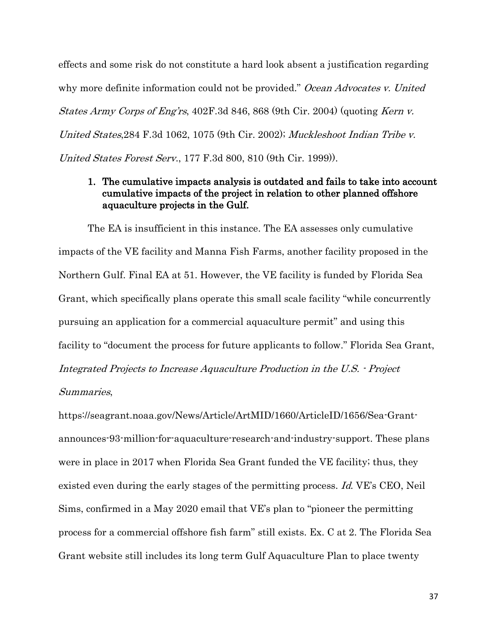effects and some risk do not constitute a hard look absent a justification regarding why more definite information could not be provided." Ocean Advocates v. United States Army Corps of Eng'rs, 402F.3d 846, 868 (9th Cir. 2004) (quoting Kern v. United States,284 F.3d 1062, 1075 (9th Cir. 2002); Muckleshoot Indian Tribe v. United States Forest Serv., 177 F.3d 800, 810 (9th Cir. 1999)).

## <span id="page-47-1"></span><span id="page-47-0"></span>1. The cumulative impacts analysis is outdated and fails to take into account cumulative impacts of the project in relation to other planned offshore aquaculture projects in the Gulf.

The EA is insufficient in this instance. The EA assesses only cumulative impacts of the VE facility and Manna Fish Farms, another facility proposed in the Northern Gulf. Final EA at 51. However, the VE facility is funded by Florida Sea Grant, which specifically plans operate this small scale facility "while concurrently pursuing an application for a commercial aquaculture permit" and using this facility to "document the process for future applicants to follow." Florida Sea Grant, Integrated Projects to Increase Aquaculture Production in the U.S. - Project Summaries,

<span id="page-47-2"></span>[https://seagrant.noaa.gov/News/Article/ArtMID/1660/ArticleID/1656/Sea-Grant](https://seagrant.noaa.gov/News/Article/ArtMID/1660/ArticleID/1656/Sea-Grant-announces-93-million-for-aquaculture-research-and-industry-support)[announces-93-million-for-aquaculture-research-and-industry-support.](https://seagrant.noaa.gov/News/Article/ArtMID/1660/ArticleID/1656/Sea-Grant-announces-93-million-for-aquaculture-research-and-industry-support) These plans were in place in 2017 when Florida Sea Grant funded the VE facility; thus, they existed even during the early stages of the permitting process. Id. VE's CEO, Neil Sims, confirmed in a May 2020 email that VE's plan to "pioneer the permitting process for a commercial offshore fish farm" still exists. Ex. C at 2. The Florida Sea Grant website still includes its long term Gulf Aquaculture Plan to place twenty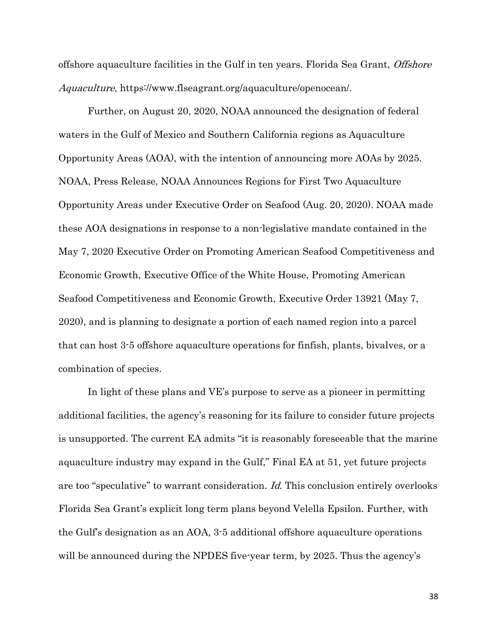<span id="page-48-1"></span>offshore aquaculture facilities in the Gulf in ten years. Florida Sea Grant, Offshore Aquaculture, [https://www.flseagrant.org/aquaculture/openocean/.](https://www.flseagrant.org/aquaculture/openocean/)

<span id="page-48-2"></span><span id="page-48-0"></span>Further, on August 20, 2020, NOAA announced the designation of federal waters in the Gulf of Mexico and Southern California regions as Aquaculture Opportunity Areas (AOA), with the intention of announcing more AOAs by 2025. NOAA, Press Release, NOAA Announces Regions for First Two Aquaculture Opportunity Areas under Executive Order on Seafood (Aug. 20, 2020). NOAA made these AOA designations in response to a non-legislative mandate contained in the May 7, 2020 Executive Order on Promoting American Seafood Competitiveness and Economic Growth, Executive Office of the White House, Promoting American Seafood Competitiveness and Economic Growth, Executive Order 13921 (May 7, 2020), and is planning to designate a portion of each named region into a parcel that can host 3-5 offshore aquaculture operations for finfish, plants, bivalves, or a combination of species.

In light of these plans and VE's purpose to serve as a pioneer in permitting additional facilities, the agency's reasoning for its failure to consider future projects is unsupported. The current EA admits "it is reasonably foreseeable that the marine aquaculture industry may expand in the Gulf," Final EA at 51, yet future projects are too "speculative" to warrant consideration. Id. This conclusion entirely overlooks Florida Sea Grant's explicit long term plans beyond Velella Epsilon. Further, with the Gulf's designation as an AOA, 3-5 additional offshore aquaculture operations will be announced during the NPDES five-year term, by 2025. Thus the agency's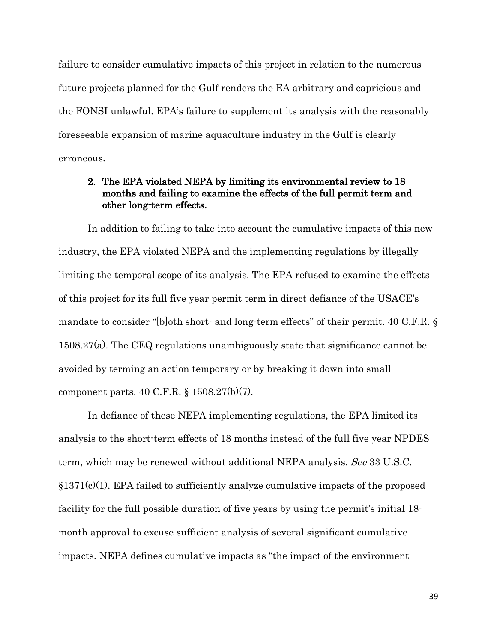failure to consider cumulative impacts of this project in relation to the numerous future projects planned for the Gulf renders the EA arbitrary and capricious and the FONSI unlawful. EPA's failure to supplement its analysis with the reasonably foreseeable expansion of marine aquaculture industry in the Gulf is clearly erroneous.

## <span id="page-49-3"></span><span id="page-49-2"></span><span id="page-49-0"></span>2. The EPA violated NEPA by limiting its environmental review to 18 months and failing to examine the effects of the full permit term and other long-term effects.

In addition to failing to take into account the cumulative impacts of this new industry, the EPA violated NEPA and the implementing regulations by illegally limiting the temporal scope of its analysis. The EPA refused to examine the effects of this project for its full five year permit term in direct defiance of the USACE's mandate to consider "[b]oth short- and long-term effects" of their permit. 40 C.F.R. § 1508.27(a). The CEQ regulations unambiguously state that significance cannot be avoided by terming an action temporary or by breaking it down into small component parts. [40 C.F.R. § 1508.27\(b\)\(](https://1.next.westlaw.com/Link/Document/FullText?findType=L&pubNum=1000547&cite=40CFRS1508.27&originatingDoc=Idf73171c72bd11ddb6a3a099756c05b7&refType=RB&originationContext=document&transitionType=DocumentItem&contextData=(sc.Search)#co_pp_a83b000018c76)7).

<span id="page-49-4"></span><span id="page-49-1"></span>In defiance of these NEPA implementing regulations, the EPA limited its analysis to the short-term effects of 18 months instead of the full five year NPDES term, which may be renewed without additional NEPA analysis. See 33 U.S.C.  $$1371(c)(1)$ . EPA failed to sufficiently analyze cumulative impacts of the proposed facility for the full possible duration of five years by using the permit's initial 18 month approval to excuse sufficient analysis of several significant cumulative impacts. NEPA defines cumulative impacts as "the impact of the environment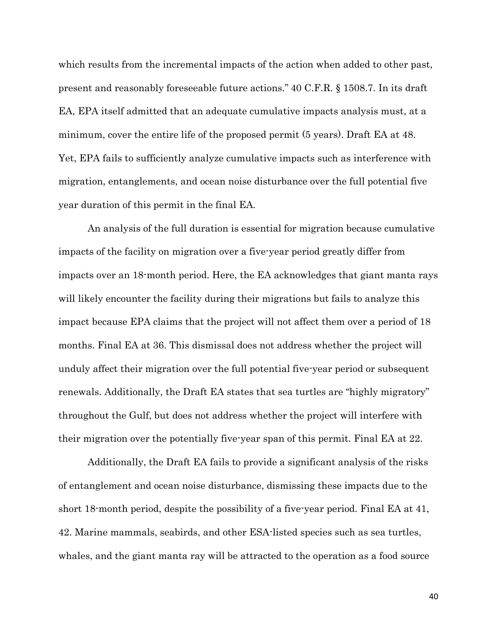<span id="page-50-0"></span>which results from the incremental impacts of the action when added to other past, present and reasonably foreseeable future actions." 40 C.F.R. § 1508.7. In its draft EA, EPA itself admitted that an adequate cumulative impacts analysis must, at a minimum, cover the entire life of the proposed permit (5 years). Draft EA at 48. Yet, EPA fails to sufficiently analyze cumulative impacts such as interference with migration, entanglements, and ocean noise disturbance over the full potential five year duration of this permit in the final EA.

An analysis of the full duration is essential for migration because cumulative impacts of the facility on migration over a five-year period greatly differ from impacts over an 18-month period. Here, the EA acknowledges that giant manta rays will likely encounter the facility during their migrations but fails to analyze this impact because EPA claims that the project will not affect them over a period of 18 months. Final EA at 36. This dismissal does not address whether the project will unduly affect their migration over the full potential five-year period or subsequent renewals. Additionally, the Draft EA states that sea turtles are "highly migratory" throughout the Gulf, but does not address whether the project will interfere with their migration over the potentially five-year span of this permit. Final EA at 22.

Additionally, the Draft EA fails to provide a significant analysis of the risks of entanglement and ocean noise disturbance, dismissing these impacts due to the short 18-month period, despite the possibility of a five-year period. Final EA at 41, 42. Marine mammals, seabirds, and other ESA-listed species such as sea turtles, whales, and the giant manta ray will be attracted to the operation as a food source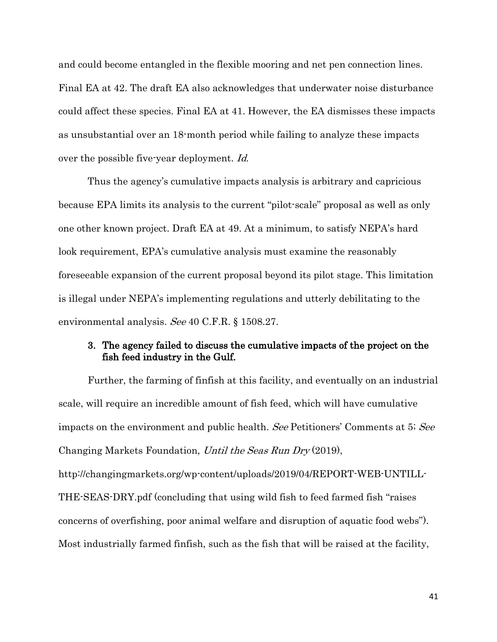and could become entangled in the flexible mooring and net pen connection lines. Final EA at 42. The draft EA also acknowledges that underwater noise disturbance could affect these species. Final EA at 41. However, the EA dismisses these impacts as unsubstantial over an 18-month period while failing to analyze these impacts over the possible five-year deployment. Id.

<span id="page-51-1"></span>Thus the agency's cumulative impacts analysis is arbitrary and capricious because EPA limits its analysis to the current "pilot-scale" proposal as well as only one other known project. Draft EA at 49. At a minimum, to satisfy NEPA's hard look requirement, EPA's cumulative analysis must examine the reasonably foreseeable expansion of the current proposal beyond its pilot stage. This limitation is illegal under NEPA's implementing regulations and utterly debilitating to the environmental analysis. See [40 C.F.R. § 1508.27.](https://1.next.westlaw.com/Link/Document/FullText?findType=L&pubNum=1000547&cite=40CFRS1508.27&originatingDoc=Idf73171c72bd11ddb6a3a099756c05b7&refType=LQ&originationContext=document&transitionType=DocumentItem&contextData=(sc.Search))

## <span id="page-51-2"></span><span id="page-51-0"></span>3. The agency failed to discuss the cumulative impacts of the project on the fish feed industry in the Gulf.

Further, the farming of finfish at this facility, and eventually on an industrial scale, will require an incredible amount of fish feed, which will have cumulative impacts on the environment and public health. See Petitioners' Comments at 5; See Changing Markets Foundation, Until the Seas Run Dry (2019),

<span id="page-51-3"></span>http://changingmarkets.org/wp-content/uploads/2019/04/REPORT-WEB-UNTILL-THE-SEAS-DRY.pdf (concluding that using wild fish to feed farmed fish "raises concerns of overfishing, poor animal welfare and disruption of aquatic food webs"). Most industrially farmed finfish, such as the fish that will be raised at the facility,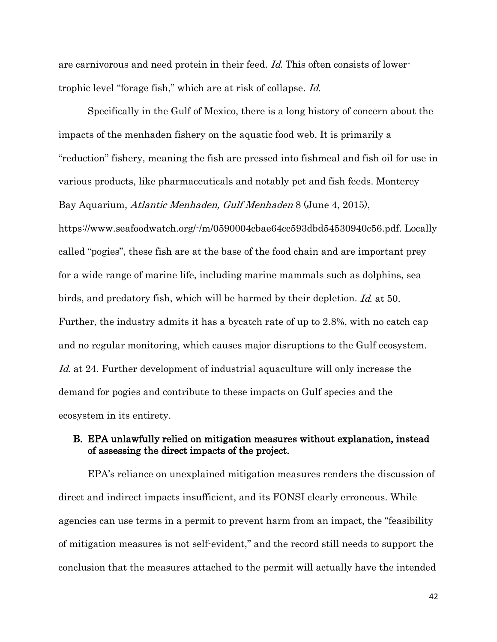<span id="page-52-1"></span>are carnivorous and need protein in their feed. Id. This often consists of lowertrophic level "forage fish," which are at risk of collapse. Id.

<span id="page-52-2"></span>Specifically in the Gulf of Mexico, there is a long history of concern about the impacts of the menhaden fishery on the aquatic food web. It is primarily a "reduction" fishery, meaning the fish are pressed into fishmeal and fish oil for use in various products, like pharmaceuticals and notably pet and fish feeds. Monterey Bay Aquarium, Atlantic Menhaden, Gulf Menhaden 8 (June 4, 2015), [https://www.seafoodwatch.org/-/m/0590004cbae64cc593dbd54530940c56.pdf.](https://www.seafoodwatch.org/-/m/0590004cbae64cc593dbd54530940c56.pdf) Locally called "pogies", these fish are at the base of the food chain and are important prey for a wide range of marine life, including marine mammals such as dolphins, sea birds, and predatory fish, which will be harmed by their depletion. Id. at 50. Further, the industry admits it has a bycatch rate of up to 2.8%, with no catch cap and no regular monitoring, which causes major disruptions to the Gulf ecosystem. Id. at 24. Further development of industrial aquaculture will only increase the demand for pogies and contribute to these impacts on Gulf species and the ecosystem in its entirety.

## <span id="page-52-0"></span>B. EPA unlawfully relied on mitigation measures without explanation, instead of assessing the direct impacts of the project.

EPA's reliance on unexplained mitigation measures renders the discussion of direct and indirect impacts insufficient, and its FONSI clearly erroneous. While agencies can use terms in a permit to prevent harm from an impact, the "feasibility of mitigation measures is not self-evident," and the record still needs to support the conclusion that the measures attached to the permit will actually have the intended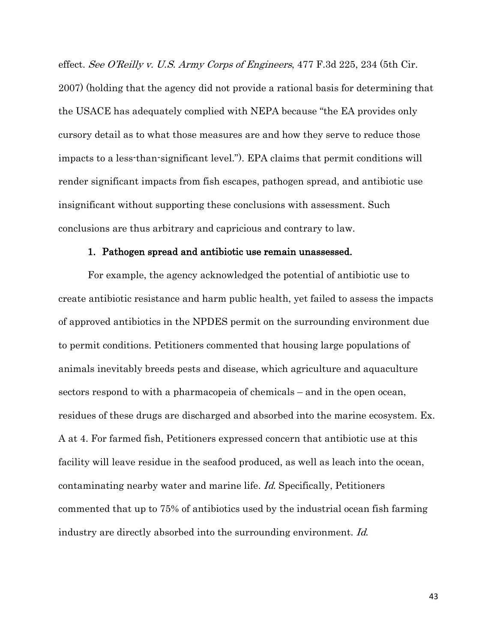<span id="page-53-2"></span><span id="page-53-1"></span>effect. See O'Reilly v. U.S. Army Corps of Engineers, 477 F.3d 225, 234 (5th Cir. 2007) (holding that the agency did not provide a rational basis for determining that the USACE has adequately complied with NEPA because "the EA provides only cursory detail as to what those measures are and how they serve to reduce those impacts to a less-than-significant level."). EPA claims that permit conditions will render significant impacts from fish escapes, pathogen spread, and antibiotic use insignificant without supporting these conclusions with assessment. Such conclusions are thus arbitrary and capricious and contrary to law.

### <span id="page-53-0"></span>1. Pathogen spread and antibiotic use remain unassessed.

For example, the agency acknowledged the potential of antibiotic use to create antibiotic resistance and harm public health, yet failed to assess the impacts of approved antibiotics in the NPDES permit on the surrounding environment due to permit conditions. Petitioners commented that housing large populations of animals inevitably breeds pests and disease, which agriculture and aquaculture sectors respond to with a pharmacopeia of chemicals – and in the open ocean, residues of these drugs are discharged and absorbed into the marine ecosystem. Ex. A at 4. For farmed fish, Petitioners expressed concern that antibiotic use at this facility will leave residue in the seafood produced, as well as leach into the ocean, contaminating nearby water and marine life. Id. Specifically, Petitioners commented that up to 75% of antibiotics used by the industrial ocean fish farming industry are directly absorbed into the surrounding environment. Id.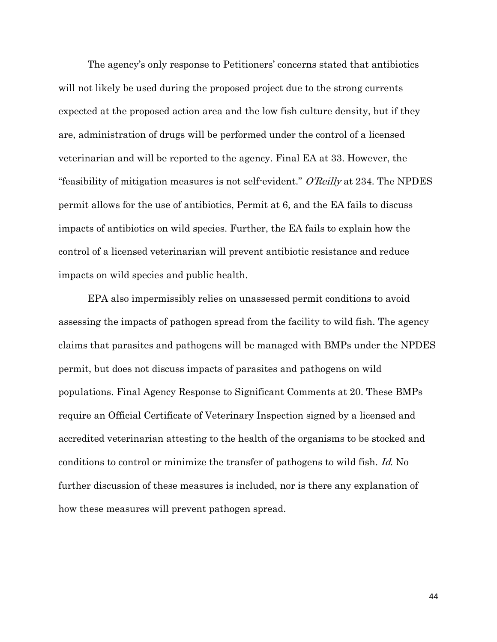<span id="page-54-0"></span>The agency's only response to Petitioners' concerns stated that antibiotics will not likely be used during the proposed project due to the strong currents expected at the proposed action area and the low fish culture density, but if they are, administration of drugs will be performed under the control of a licensed veterinarian and will be reported to the agency. Final EA at 33. However, the "feasibility of mitigation measures is not self-evident." O'Reilly at 234. The NPDES permit allows for the use of antibiotics, Permit at 6, and the EA fails to discuss impacts of antibiotics on wild species. Further, the EA fails to explain how the control of a licensed veterinarian will prevent antibiotic resistance and reduce impacts on wild species and public health.

EPA also impermissibly relies on unassessed permit conditions to avoid assessing the impacts of pathogen spread from the facility to wild fish. The agency claims that parasites and pathogens will be managed with BMPs under the NPDES permit, but does not discuss impacts of parasites and pathogens on wild populations. Final Agency Response to Significant Comments at 20. These BMPs require an Official Certificate of Veterinary Inspection signed by a licensed and accredited veterinarian attesting to the health of the organisms to be stocked and conditions to control or minimize the transfer of pathogens to wild fish. Id. No further discussion of these measures is included, nor is there any explanation of how these measures will prevent pathogen spread.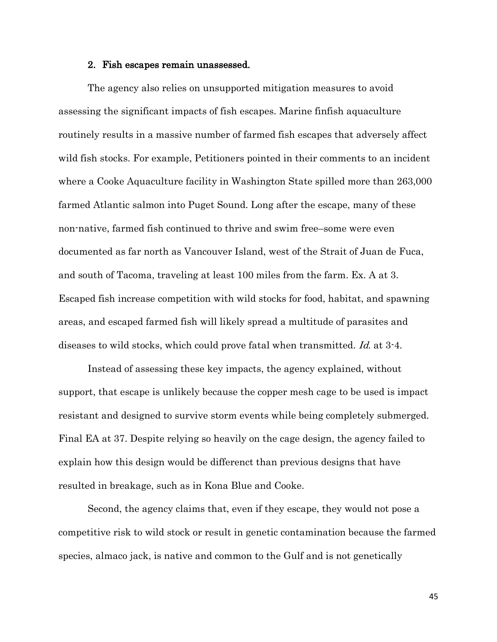#### <span id="page-55-0"></span>2. Fish escapes remain unassessed.

The agency also relies on unsupported mitigation measures to avoid assessing the significant impacts of fish escapes. Marine finfish aquaculture routinely results in a massive number of farmed fish escapes that adversely affect wild fish stocks. For example, Petitioners pointed in their comments to an incident where a Cooke Aquaculture facility in Washington State spilled more than 263,000 farmed Atlantic salmon into Puget Sound. Long after the escape, many of these non-native, farmed fish continued to thrive and swim free–some were even documented as far north as Vancouver Island, west of the Strait of Juan de Fuca, and south of Tacoma, traveling at least 100 miles from the farm. Ex. A at 3. Escaped fish increase competition with wild stocks for food, habitat, and spawning areas, and escaped farmed fish will likely spread a multitude of parasites and diseases to wild stocks, which could prove fatal when transmitted. Id. at 3-4.

Instead of assessing these key impacts, the agency explained, without support, that escape is unlikely because the copper mesh cage to be used is impact resistant and designed to survive storm events while being completely submerged. Final EA at 37. Despite relying so heavily on the cage design, the agency failed to explain how this design would be differenct than previous designs that have resulted in breakage, such as in Kona Blue and Cooke.

Second, the agency claims that, even if they escape, they would not pose a competitive risk to wild stock or result in genetic contamination because the farmed species, almaco jack, is native and common to the Gulf and is not genetically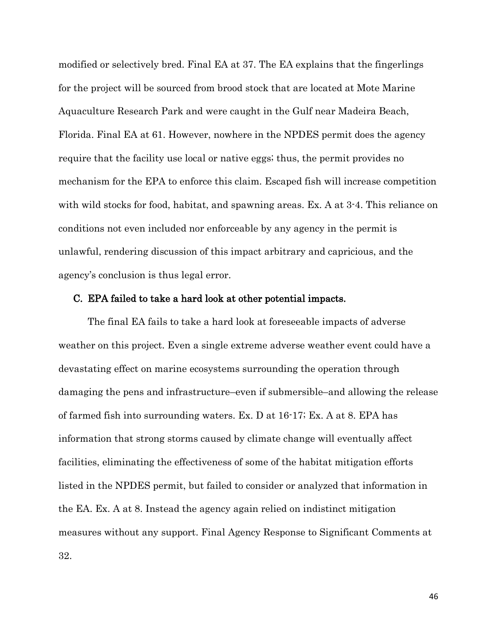modified or selectively bred. Final EA at 37. The EA explains that the fingerlings for the project will be sourced from brood stock that are located at Mote Marine Aquaculture Research Park and were caught in the Gulf near Madeira Beach, Florida. Final EA at 61. However, nowhere in the NPDES permit does the agency require that the facility use local or native eggs; thus, the permit provides no mechanism for the EPA to enforce this claim. Escaped fish will increase competition with wild stocks for food, habitat, and spawning areas. Ex. A at 3-4. This reliance on conditions not even included nor enforceable by any agency in the permit is unlawful, rendering discussion of this impact arbitrary and capricious, and the agency's conclusion is thus legal error.

## <span id="page-56-0"></span>C. EPA failed to take a hard look at other potential impacts.

The final EA fails to take a hard look at foreseeable impacts of adverse weather on this project. Even a single extreme adverse weather event could have a devastating effect on marine ecosystems surrounding the operation through damaging the pens and infrastructure–even if submersible–and allowing the release of farmed fish into surrounding waters. Ex. D at 16-17; Ex. A at 8. EPA has information that strong storms caused by climate change will eventually affect facilities, eliminating the effectiveness of some of the habitat mitigation efforts listed in the NPDES permit, but failed to consider or analyzed that information in the EA. Ex. A at 8. Instead the agency again relied on indistinct mitigation measures without any support. Final Agency Response to Significant Comments at 32.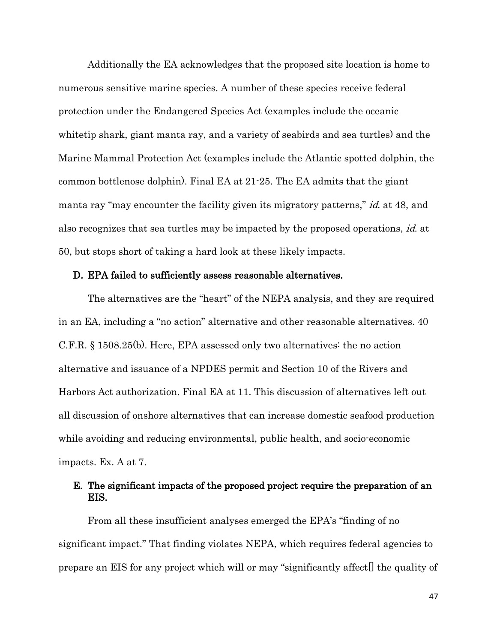<span id="page-57-3"></span><span id="page-57-2"></span>Additionally the EA acknowledges that the proposed site location is home to numerous sensitive marine species. A number of these species receive federal protection under the Endangered Species Act (examples include the oceanic whitetip shark, giant manta ray, and a variety of seabirds and sea turtles) and the Marine Mammal Protection Act (examples include the Atlantic spotted dolphin, the common bottlenose dolphin). Final EA at 21-25. The EA admits that the giant manta ray "may encounter the facility given its migratory patterns," *id.* at 48, and also recognizes that sea turtles may be impacted by the proposed operations, id. at 50, but stops short of taking a hard look at these likely impacts.

#### <span id="page-57-6"></span><span id="page-57-5"></span><span id="page-57-4"></span><span id="page-57-0"></span>D. EPA failed to sufficiently assess reasonable alternatives.

The alternatives are the "heart" of the NEPA analysis, and they are required in an EA, including a "no action" alternative and other reasonable alternatives. 40 C.F.R. § 1508.25(b). Here, EPA assessed only two alternatives: the no action alternative and issuance of a NPDES permit and Section 10 of the Rivers and Harbors Act authorization. Final EA at 11. This discussion of alternatives left out all discussion of onshore alternatives that can increase domestic seafood production while avoiding and reducing environmental, public health, and socio-economic impacts. Ex. A at 7.

## <span id="page-57-1"></span>E. The significant impacts of the proposed project require the preparation of an EIS.

From all these insufficient analyses emerged the EPA's "finding of no significant impact." That finding violates NEPA, which requires federal agencies to prepare an EIS for any project which will or may "significantly affect[] the quality of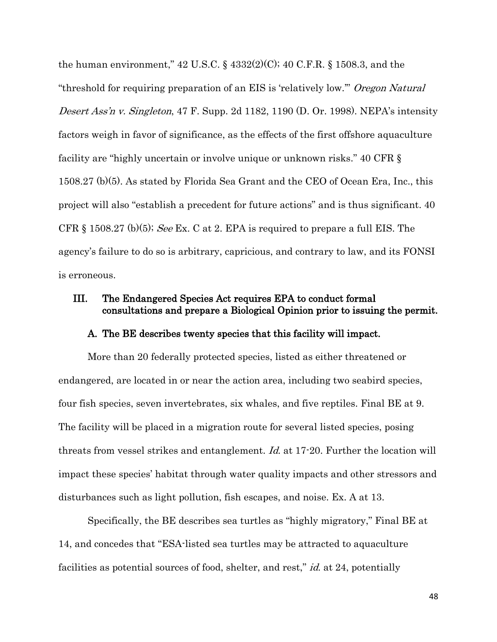<span id="page-58-6"></span><span id="page-58-5"></span><span id="page-58-3"></span><span id="page-58-2"></span>the human environment,"  $42 \text{ U.S.C.}$  §  $4332(2)(C)$ ;  $40 \text{ C.F.R.}$  § 1508.3, and the "threshold for requiring preparation of an EIS is 'relatively low." Oregon Natural Desert Ass'n v. Singleton, 47 F. Supp. 2d 1182, 1190 (D. Or. 1998). NEPA's intensity factors weigh in favor of significance, as the effects of the first offshore aquaculture facility are "highly uncertain or involve unique or unknown risks." 40 CFR § 1508.27 (b)(5). As stated by Florida Sea Grant and the CEO of Ocean Era, Inc., this project will also "establish a precedent for future actions" and is thus significant. 40 CFR  $\S$  1508.27 (b)(5); See Ex. C at 2. EPA is required to prepare a full EIS. The agency's failure to do so is arbitrary, capricious, and contrary to law, and its FONSI is erroneous.

## III. The Endangered Species Act requires EPA to conduct formal consultations and prepare a Biological Opinion prior to issuing the permit.

## <span id="page-58-4"></span><span id="page-58-1"></span><span id="page-58-0"></span>A. The BE describes twenty species that this facility will impact.

More than 20 federally protected species, listed as either threatened or endangered, are located in or near the action area, including two seabird species, four fish species, seven invertebrates, six whales, and five reptiles. Final BE at 9. The facility will be placed in a migration route for several listed species, posing threats from vessel strikes and entanglement. Id. at 17-20. Further the location will impact these species' habitat through water quality impacts and other stressors and disturbances such as light pollution, fish escapes, and noise. Ex. A at 13.

Specifically, the BE describes sea turtles as "highly migratory," Final BE at 14, and concedes that "ESA-listed sea turtles may be attracted to aquaculture facilities as potential sources of food, shelter, and rest," id. at 24, potentially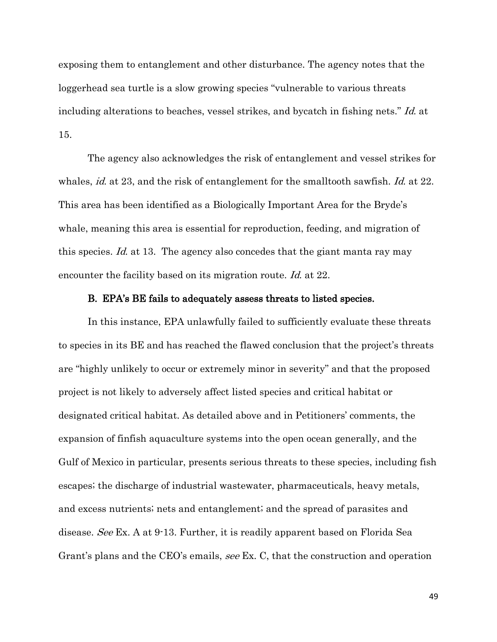exposing them to entanglement and other disturbance. The agency notes that the loggerhead sea turtle is a slow growing species "vulnerable to various threats including alterations to beaches, vessel strikes, and bycatch in fishing nets." Id. at 15.

The agency also acknowledges the risk of entanglement and vessel strikes for whales, *id.* at 23, and the risk of entanglement for the smalltooth sawfish. *Id.* at 22. This area has been identified as a Biologically Important Area for the Bryde's whale, meaning this area is essential for reproduction, feeding, and migration of this species. Id. at 13. The agency also concedes that the giant manta ray may encounter the facility based on its migration route. Id. at 22.

## <span id="page-59-0"></span>B. EPA's BE fails to adequately assess threats to listed species.

In this instance, EPA unlawfully failed to sufficiently evaluate these threats to species in its BE and has reached the flawed conclusion that the project's threats are "highly unlikely to occur or extremely minor in severity" and that the proposed project is not likely to adversely affect listed species and critical habitat or designated critical habitat. As detailed above and in Petitioners' comments, the expansion of finfish aquaculture systems into the open ocean generally, and the Gulf of Mexico in particular, presents serious threats to these species, including fish escapes; the discharge of industrial wastewater, pharmaceuticals, heavy metals, and excess nutrients; nets and entanglement; and the spread of parasites and disease. See Ex. A at 9-13. Further, it is readily apparent based on Florida Sea Grant's plans and the CEO's emails, see Ex. C, that the construction and operation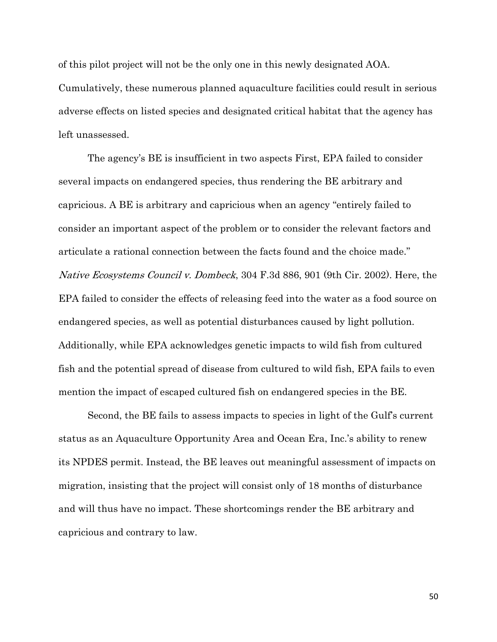of this pilot project will not be the only one in this newly designated AOA. Cumulatively, these numerous planned aquaculture facilities could result in serious adverse effects on listed species and designated critical habitat that the agency has left unassessed.

<span id="page-60-0"></span>The agency's BE is insufficient in two aspects First, EPA failed to consider several impacts on endangered species, thus rendering the BE arbitrary and capricious. A BE is arbitrary and capricious when an agency "entirely failed to consider an important aspect of the problem or to consider the relevant factors and articulate a rational connection between the facts found and the choice made." Native Ecosystems Council v. Dombeck, 304 F.3d 886, 901 (9th Cir. 2002). Here, the EPA failed to consider the effects of releasing feed into the water as a food source on endangered species, as well as potential disturbances caused by light pollution. Additionally, while EPA acknowledges genetic impacts to wild fish from cultured fish and the potential spread of disease from cultured to wild fish, EPA fails to even mention the impact of escaped cultured fish on endangered species in the BE.

Second, the BE fails to assess impacts to species in light of the Gulf's current status as an Aquaculture Opportunity Area and Ocean Era, Inc.'s ability to renew its NPDES permit. Instead, the BE leaves out meaningful assessment of impacts on migration, insisting that the project will consist only of 18 months of disturbance and will thus have no impact. These shortcomings render the BE arbitrary and capricious and contrary to law.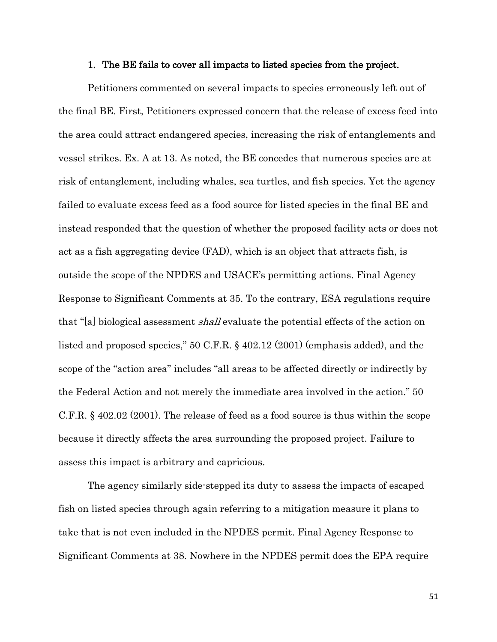#### <span id="page-61-0"></span>1. The BE fails to cover all impacts to listed species from the project.

Petitioners commented on several impacts to species erroneously left out of the final BE. First, Petitioners expressed concern that the release of excess feed into the area could attract endangered species, increasing the risk of entanglements and vessel strikes. Ex. A at 13. As noted, the BE concedes that numerous species are at risk of entanglement, including whales, sea turtles, and fish species. Yet the agency failed to evaluate excess feed as a food source for listed species in the final BE and instead responded that the question of whether the proposed facility acts or does not act as a fish aggregating device (FAD), which is an object that attracts fish, is outside the scope of the NPDES and USACE's permitting actions. Final Agency Response to Significant Comments at 35. To the contrary, ESA regulations require that "[a] biological assessment shall evaluate the potential effects of the action on listed and proposed species," 50 C.F.R. § 402.12 (2001) (emphasis added), and the scope of the "action area" includes "all areas to be affected directly or indirectly by the Federal Action and not merely the immediate area involved in the action." 50 C.F.R. § 402.02 (2001). The release of feed as a food source is thus within the scope because it directly affects the area surrounding the proposed project. Failure to assess this impact is arbitrary and capricious.

<span id="page-61-2"></span><span id="page-61-1"></span>The agency similarly side-stepped its duty to assess the impacts of escaped fish on listed species through again referring to a mitigation measure it plans to take that is not even included in the NPDES permit. Final Agency Response to Significant Comments at 38. Nowhere in the NPDES permit does the EPA require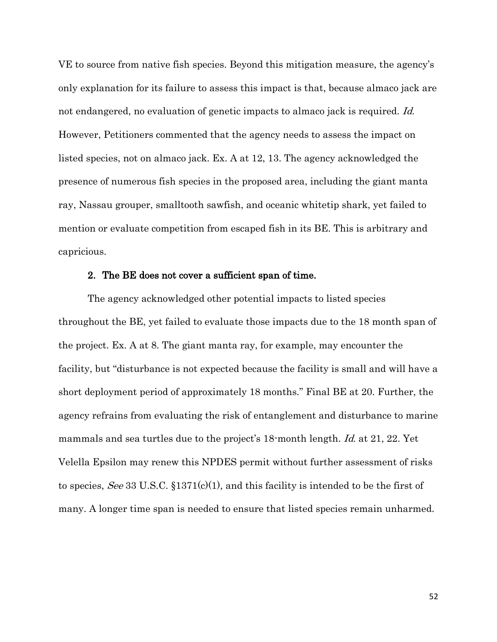<span id="page-62-2"></span>VE to source from native fish species. Beyond this mitigation measure, the agency's only explanation for its failure to assess this impact is that, because almaco jack are not endangered, no evaluation of genetic impacts to almaco jack is required. Id. However, Petitioners commented that the agency needs to assess the impact on listed species, not on almaco jack. Ex. A at 12, 13. The agency acknowledged the presence of numerous fish species in the proposed area, including the giant manta ray, Nassau grouper, smalltooth sawfish, and oceanic whitetip shark, yet failed to mention or evaluate competition from escaped fish in its BE. This is arbitrary and capricious.

#### <span id="page-62-0"></span>2. The BE does not cover a sufficient span of time.

<span id="page-62-1"></span>The agency acknowledged other potential impacts to listed species throughout the BE, yet failed to evaluate those impacts due to the 18 month span of the project. Ex. A at 8. The giant manta ray, for example, may encounter the facility, but "disturbance is not expected because the facility is small and will have a short deployment period of approximately 18 months." Final BE at 20. Further, the agency refrains from evaluating the risk of entanglement and disturbance to marine mammals and sea turtles due to the project's 18-month length. Id. at 21, 22. Yet Velella Epsilon may renew this NPDES permit without further assessment of risks to species, See 33 U.S.C.  $$1371(c)(1)$ , and this facility is intended to be the first of many. A longer time span is needed to ensure that listed species remain unharmed.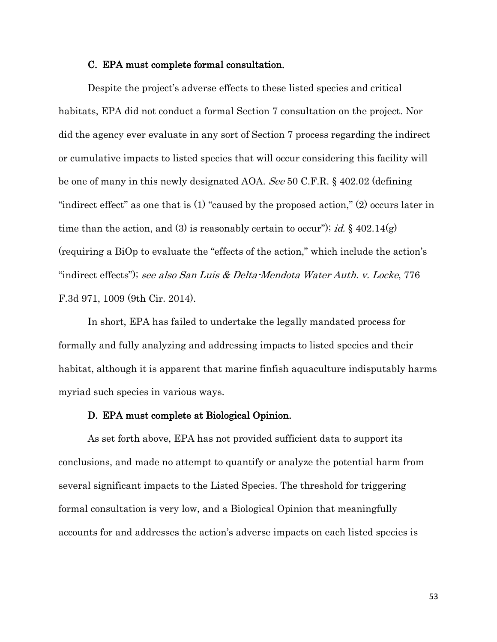#### <span id="page-63-3"></span><span id="page-63-0"></span>C. EPA must complete formal consultation.

Despite the project's adverse effects to these listed species and critical habitats, EPA did not conduct a formal Section 7 consultation on the project. Nor did the agency ever evaluate in any sort of Section 7 process regarding the indirect or cumulative impacts to listed species that will occur considering this facility will be one of many in this newly designated AOA. See 50 C.F.R. § 402.02 (defining "indirect effect" as one that is  $(1)$  "caused by the proposed action,"  $(2)$  occurs later in time than the action, and (3) is reasonably certain to occur"); id.  $\S$  402.14(g) (requiring a BiOp to evaluate the "effects of the action," which include the action's "indirect effects"); see also San Luis & Delta-Mendota Water Auth. v. Locke, 776 F.3d 971, 1009 (9th Cir. 2014).

<span id="page-63-2"></span>In short, EPA has failed to undertake the legally mandated process for formally and fully analyzing and addressing impacts to listed species and their habitat, although it is apparent that marine finfish aquaculture indisputably harms myriad such species in various ways.

#### <span id="page-63-1"></span>D. EPA must complete at Biological Opinion.

As set forth above, EPA has not provided sufficient data to support its conclusions, and made no attempt to quantify or analyze the potential harm from several significant impacts to the Listed Species. The threshold for triggering formal consultation is very low, and a Biological Opinion that meaningfully accounts for and addresses the action's adverse impacts on each listed species is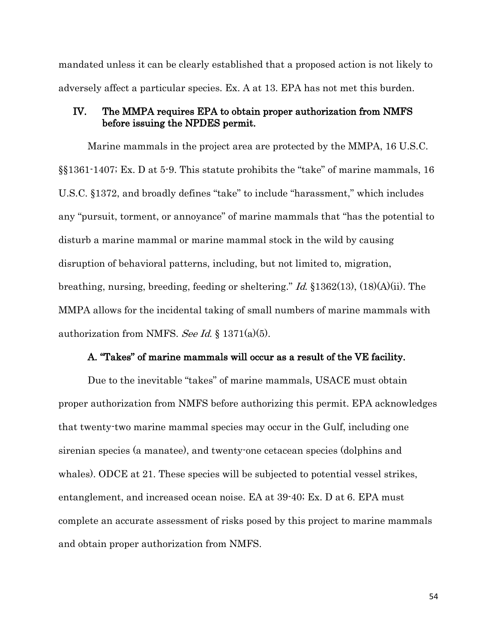mandated unless it can be clearly established that a proposed action is not likely to adversely affect a particular species. Ex. A at 13. EPA has not met this burden.

## <span id="page-64-3"></span><span id="page-64-0"></span>IV. The MMPA requires EPA to obtain proper authorization from NMFS before issuing the NPDES permit.

<span id="page-64-2"></span>Marine mammals in the project area are protected by the MMPA, 16 U.S.C. §§1361-1407; Ex. D at 5-9. This statute prohibits the "take" of marine mammals, 16 U.S.C. §1372, and broadly defines "take" to include "harassment," which includes any "pursuit, torment, or annoyance" of marine mammals that "has the potential to disturb a marine mammal or marine mammal stock in the wild by causing disruption of behavioral patterns, including, but not limited to, migration, breathing, nursing, breeding, feeding or sheltering." Id. §1362(13), (18)(A)(ii). The MMPA allows for the incidental taking of small numbers of marine mammals with authorization from NMFS. See Id.  $\S 1371(a)(5)$ .

## <span id="page-64-1"></span>A. "Takes" of marine mammals will occur as a result of the VE facility.

Due to the inevitable "takes" of marine mammals, USACE must obtain proper authorization from NMFS before authorizing this permit. EPA acknowledges that twenty-two marine mammal species may occur in the Gulf, including one sirenian species (a manatee), and twenty-one cetacean species (dolphins and whales). ODCE at 21. These species will be subjected to potential vessel strikes, entanglement, and increased ocean noise. EA at 39-40; Ex. D at 6. EPA must complete an accurate assessment of risks posed by this project to marine mammals and obtain proper authorization from NMFS.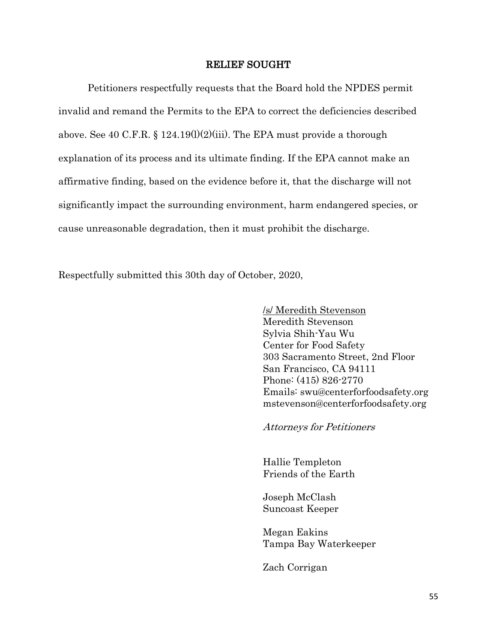### <span id="page-65-0"></span>RELIEF SOUGHT

<span id="page-65-1"></span>Petitioners respectfully requests that the Board hold the NPDES permit invalid and remand the Permits to the EPA to correct the deficiencies described above. See 40 C.F.R. § 124.19(1)(2)(iii). The EPA must provide a thorough explanation of its process and its ultimate finding. If the EPA cannot make an affirmative finding, based on the evidence before it, that the discharge will not significantly impact the surrounding environment, harm endangered species, or cause unreasonable degradation, then it must prohibit the discharge.

Respectfully submitted this 30th day of October, 2020,

/s/ Meredith Stevenson Meredith Stevenson Sylvia Shih-Yau Wu Center for Food Safety 303 Sacramento Street, 2nd Floor San Francisco, CA 94111 Phone: (415) 826-2770 Emails: swu@centerforfoodsafety.org mstevenson@centerforfoodsafety.org

Attorneys for Petitioners

Hallie Templeton Friends of the Earth

Joseph McClash Suncoast Keeper

Megan Eakins Tampa Bay Waterkeeper

Zach Corrigan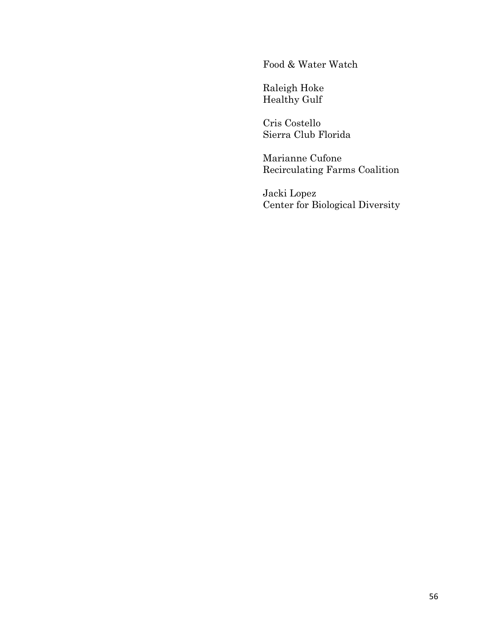Food & Water Watch

Raleigh Hoke Healthy Gulf

Cris Costello Sierra Club Florida

Marianne Cufone Recirculating Farms Coalition

Jacki Lopez Center for Biological Diversity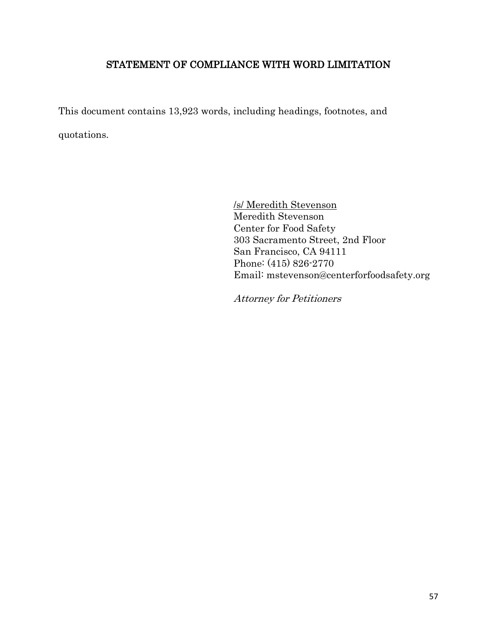## STATEMENT OF COMPLIANCE WITH WORD LIMITATION

This document contains 13,923 words, including headings, footnotes, and quotations.

> <span id="page-67-0"></span>/s/ Meredith Stevenson Meredith Stevenson Center for Food Safety 303 Sacramento Street, 2nd Floor San Francisco, CA 94111 Phone: (415) 826-2770 Email: mstevenson@centerforfoodsafety.org

Attorney for Petitioners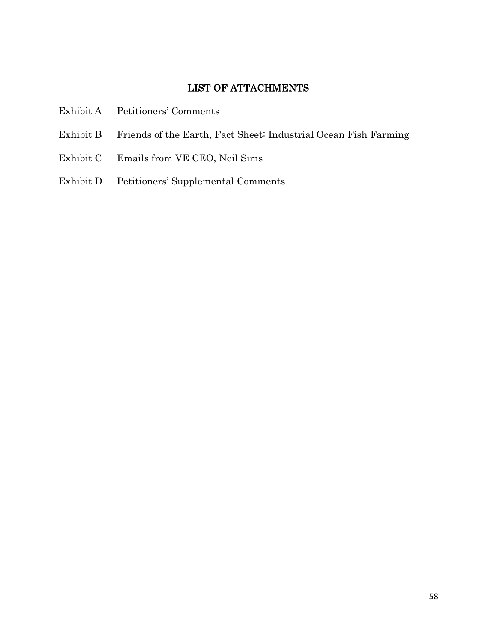## <span id="page-68-0"></span>LIST OF ATTACHMENTS

- Exhibit A Petitioners' Comments
- Exhibit B Friends of the Earth, Fact Sheet: Industrial Ocean Fish Farming
- Exhibit C Emails from VE CEO, Neil Sims
- Exhibit D Petitioners' Supplemental Comments